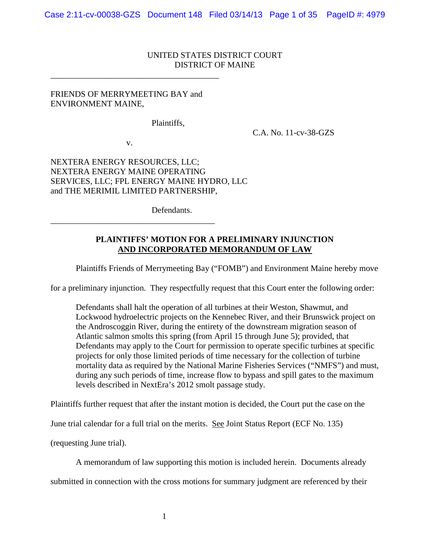# UNITED STATES DISTRICT COURT DISTRICT OF MAINE

## FRIENDS OF MERRYMEETING BAY and ENVIRONMENT MAINE,

\_\_\_\_\_\_\_\_\_\_\_\_\_\_\_\_\_\_\_\_\_\_\_\_\_\_\_\_\_\_\_\_\_\_\_\_\_\_\_\_

Plaintiffs,

C.A. No. 11-cv-38-GZS

v.

\_\_\_\_\_\_\_\_\_\_\_\_\_\_\_\_\_\_\_\_\_\_\_\_\_\_\_\_\_\_\_\_\_\_\_\_\_\_\_

NEXTERA ENERGY RESOURCES, LLC; NEXTERA ENERGY MAINE OPERATING SERVICES, LLC; FPL ENERGY MAINE HYDRO, LLC and THE MERIMIL LIMITED PARTNERSHIP,

Defendants.

# **PLAINTIFFS' MOTION FOR A PRELIMINARY INJUNCTION AND INCORPORATED MEMORANDUM OF LAW**

Plaintiffs Friends of Merrymeeting Bay ("FOMB") and Environment Maine hereby move

for a preliminary injunction. They respectfully request that this Court enter the following order:

Defendants shall halt the operation of all turbines at their Weston, Shawmut, and Lockwood hydroelectric projects on the Kennebec River, and their Brunswick project on the Androscoggin River, during the entirety of the downstream migration season of Atlantic salmon smolts this spring (from April 15 through June 5); provided, that Defendants may apply to the Court for permission to operate specific turbines at specific projects for only those limited periods of time necessary for the collection of turbine mortality data as required by the National Marine Fisheries Services ("NMFS") and must, during any such periods of time, increase flow to bypass and spill gates to the maximum levels described in NextEra's 2012 smolt passage study.

Plaintiffs further request that after the instant motion is decided, the Court put the case on the

June trial calendar for a full trial on the merits. See Joint Status Report (ECF No. 135)

(requesting June trial).

A memorandum of law supporting this motion is included herein. Documents already

submitted in connection with the cross motions for summary judgment are referenced by their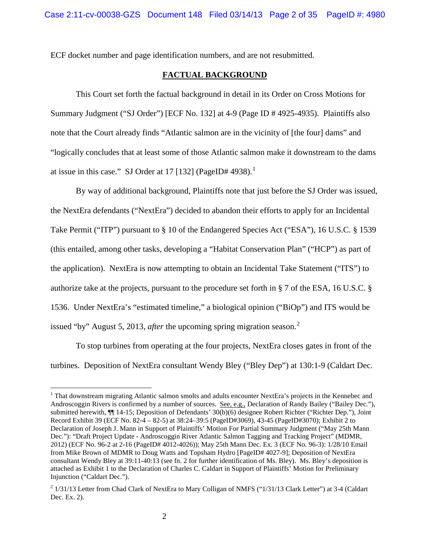ECF docket number and page identification numbers, and are not resubmitted.

### **FACTUAL BACKGROUND**

This Court set forth the factual background in detail in its Order on Cross Motions for Summary Judgment ("SJ Order") [ECF No. 132] at 4-9 (Page ID # 4925-4935). Plaintiffs also note that the Court already finds "Atlantic salmon are in the vicinity of [the four] dams" and "logically concludes that at least some of those Atlantic salmon make it downstream to the dams at issue in this case." SJ Order at [1](#page-1-0)7 [132] (PageID# 4938).<sup>1</sup>

By way of additional background, Plaintiffs note that just before the SJ Order was issued, the NextEra defendants ("NextEra") decided to abandon their efforts to apply for an Incidental Take Permit ("ITP") pursuant to § 10 of the Endangered Species Act ("ESA"), 16 U.S.C. § 1539 (this entailed, among other tasks, developing a "Habitat Conservation Plan" ("HCP") as part of the application). NextEra is now attempting to obtain an Incidental Take Statement ("ITS") to authorize take at the projects, pursuant to the procedure set forth in § 7 of the ESA, 16 U.S.C. § 1536. Under NextEra's "estimated timeline," a biological opinion ("BiOp") and ITS would be issued "by" August 5, 2013, *after* the upcoming spring migration season. [2](#page-1-1)

To stop turbines from operating at the four projects, NextEra closes gates in front of the turbines. Deposition of NextEra consultant Wendy Bley ("Bley Dep") at 130:1-9 (Caldart Dec.

<span id="page-1-0"></span><sup>&</sup>lt;sup>1</sup> That downstream migrating Atlantic salmon smolts and adults encounter NextEra's projects in the Kennebec and Androscoggin Rivers is confirmed by a number of sources. See, e.g., Declaration of Randy Bailey ("Bailey Dec."), submitted herewith, ¶¶ 14-15; Deposition of Defendants' 30(b)(6) designee Robert Richter ("Richter Dep."), Joint Record Exhibit 39 (ECF No. 82-4 – 82-5) at 38:24–39:5 (PageID#3069), 43-45 (PageID#3070); Exhibit 2 to Declaration of Joseph J. Mann in Support of Plaintiffs' Motion For Partial Summary Judgment ("May 25th Mann Dec."): "Draft Project Update - Androscoggin River Atlantic Salmon Tagging and Tracking Project" (MDMR, 2012) (ECF No. 96-2 at 2-16 (PageID# 4012-4026)); May 25th Mann Dec. Ex. 3 (ECF No. 96-3): 1/28/10 Email from Mike Brown of MDMR to Doug Watts and Topsham Hydro [PageID# 4027-9]; Deposition of NextEra consultant Wendy Bley at 39:11-40:13 (see fn. 2 for further identification of Ms. Bley). Ms. Bley's deposition is attached as Exhibit 1 to the Declaration of Charles C. Caldart in Support of Plaintiffs' Motion for Preliminary Injunction ("Caldart Dec.").

<span id="page-1-1"></span><sup>&</sup>lt;sup>2</sup> 1/31/13 Letter from Chad Clark of NextEra to Mary Colligan of NMFS ("1/31/13 Clark Letter") at 3-4 (Caldart Dec. Ex. 2).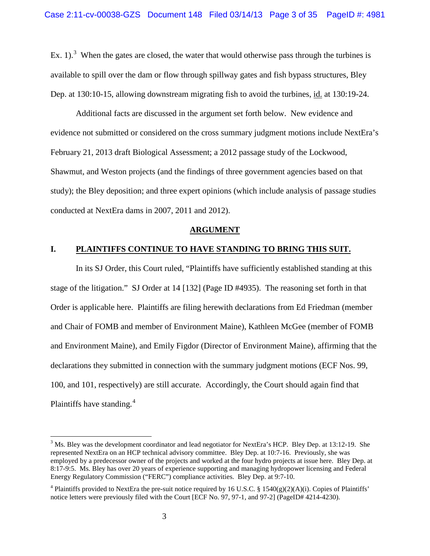Ex. 1).<sup>[3](#page-2-0)</sup> When the gates are closed, the water that would otherwise pass through the turbines is available to spill over the dam or flow through spillway gates and fish bypass structures, Bley Dep. at 130:10-15, allowing downstream migrating fish to avoid the turbines, id. at 130:19-24.

Additional facts are discussed in the argument set forth below. New evidence and evidence not submitted or considered on the cross summary judgment motions include NextEra's February 21, 2013 draft Biological Assessment; a 2012 passage study of the Lockwood, Shawmut, and Weston projects (and the findings of three government agencies based on that study); the Bley deposition; and three expert opinions (which include analysis of passage studies conducted at NextEra dams in 2007, 2011 and 2012).

#### **ARGUMENT**

#### **I. PLAINTIFFS CONTINUE TO HAVE STANDING TO BRING THIS SUIT.**

In its SJ Order, this Court ruled, "Plaintiffs have sufficiently established standing at this stage of the litigation." SJ Order at 14 [132] (Page ID #4935). The reasoning set forth in that Order is applicable here. Plaintiffs are filing herewith declarations from Ed Friedman (member and Chair of FOMB and member of Environment Maine), Kathleen McGee (member of FOMB and Environment Maine), and Emily Figdor (Director of Environment Maine), affirming that the declarations they submitted in connection with the summary judgment motions (ECF Nos. 99, 100, and 101, respectively) are still accurate. Accordingly, the Court should again find that Plaintiffs have standing.<sup>[4](#page-2-1)</sup>

<span id="page-2-0"></span><sup>&</sup>lt;sup>3</sup> Ms. Bley was the development coordinator and lead negotiator for NextEra's HCP. Bley Dep. at 13:12-19. She represented NextEra on an HCP technical advisory committee. Bley Dep. at 10:7-16. Previously, she was employed by a predecessor owner of the projects and worked at the four hydro projects at issue here. Bley Dep. at 8:17-9:5. Ms. Bley has over 20 years of experience supporting and managing hydropower licensing and Federal Energy Regulatory Commission ("FERC") compliance activities. Bley Dep. at 9:7-10.

<span id="page-2-1"></span><sup>&</sup>lt;sup>4</sup> Plaintiffs provided to NextEra the pre-suit notice required by 16 U.S.C. § 1540(g)(2)(A)(i). Copies of Plaintiffs' notice letters were previously filed with the Court [ECF No. 97, 97-1, and 97-2] (PageID# 4214-4230).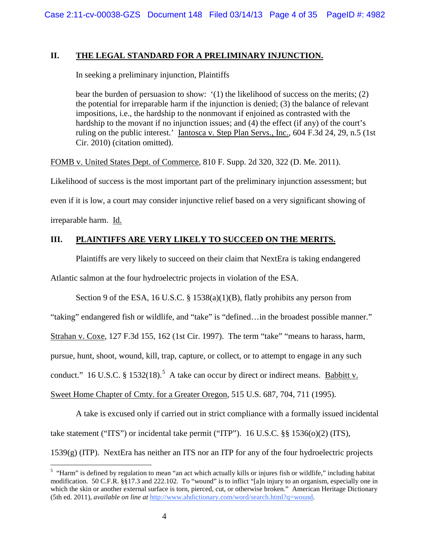## **II. THE LEGAL STANDARD FOR A PRELIMINARY INJUNCTION.**

In seeking a preliminary injunction, Plaintiffs

bear the burden of persuasion to show: '(1) the likelihood of success on the merits; (2) the potential for irreparable harm if the injunction is denied; (3) the balance of relevant impositions, i.e., the hardship to the nonmovant if enjoined as contrasted with the hardship to the movant if no injunction issues; and (4) the effect (if any) of the court's ruling on the public interest.' <u>Iantosca v. Step Plan Servs., Inc.</u>, 604 F.3d 24, 29, n.5 (1st Cir. 2010) (citation omitted).

FOMB v. United States Dept. of Commerce, 810 F. Supp. 2d 320, 322 (D. Me. 2011).

Likelihood of success is the most important part of the preliminary injunction assessment; but even if it is low, a court may consider injunctive relief based on a very significant showing of irreparable harm. Id.

# **III. PLAINTIFFS ARE VERY LIKELY TO SUCCEED ON THE MERITS.**

Plaintiffs are very likely to succeed on their claim that NextEra is taking endangered

Atlantic salmon at the four hydroelectric projects in violation of the ESA.

Section 9 of the ESA, 16 U.S.C. § 1538(a)(1)(B), flatly prohibits any person from

"taking" endangered fish or wildlife, and "take" is "defined…in the broadest possible manner."

Strahan v. Coxe, 127 F.3d 155, 162 (1st Cir. 1997). The term "take" "means to harass, harm,

pursue, hunt, shoot, wound, kill, trap, capture, or collect, or to attempt to engage in any such

conduct." 16 U.S.C. § 1[5](#page-3-0)32(18).<sup>5</sup> A take can occur by direct or indirect means. <u>Babbitt v.</u>

Sweet Home Chapter of Cmty. for a Greater Oregon, 515 U.S. 687, 704, 711 (1995).

A take is excused only if carried out in strict compliance with a formally issued incidental take statement ("ITS") or incidental take permit ("ITP"). 16 U.S.C. §§ 1536(o)(2) (ITS),

1539(g) (ITP). NextEra has neither an ITS nor an ITP for any of the four hydroelectric projects

<span id="page-3-0"></span> $5$  "Harm" is defined by regulation to mean "an act which actually kills or injures fish or wildlife," including habitat modification. 50 C.F.R. §§17.3 and 222.102. To "wound" is to inflict "[a]n injury to an organism, especially one in which the skin or another external surface is torn, pierced, cut, or otherwise broken." American Heritage Dictionary (5th ed. 2011), *available on line at* [http://www.ahdictionary.com/word/search.html?q=wound.](http://www.ahdictionary.com/word/search.html?q=wound)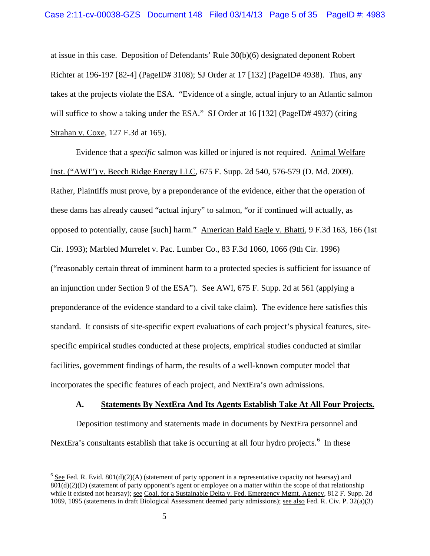at issue in this case. Deposition of Defendants' Rule 30(b)(6) designated deponent Robert Richter at 196-197 [82-4] (PageID# 3108); SJ Order at 17 [132] (PageID# 4938). Thus, any takes at the projects violate the ESA. "Evidence of a single, actual injury to an Atlantic salmon will suffice to show a taking under the ESA." SJ Order at 16 [132] (PageID# 4937) (citing Strahan v. Coxe, 127 F.3d at 165).

Evidence that a *specific* salmon was killed or injured is not required. Animal Welfare Inst. ("AWI") v. Beech Ridge Energy LLC, 675 F. Supp. 2d 540, 576-579 (D. Md. 2009). Rather, Plaintiffs must prove, by a preponderance of the evidence, either that the operation of these dams has already caused "actual injury" to salmon, "or if continued will actually, as opposed to potentially, cause [such] harm." American Bald Eagle v. Bhatti, 9 F.3d 163, 166 (1st Cir. 1993); Marbled Murrelet v. Pac. Lumber Co., 83 F.3d 1060, 1066 (9th Cir. 1996) ("reasonably certain threat of imminent harm to a protected species is sufficient for issuance of an injunction under Section 9 of the ESA"). See AWI, 675 F. Supp. 2d at 561 (applying a preponderance of the evidence standard to a civil take claim). The evidence here satisfies this standard. It consists of site-specific expert evaluations of each project's physical features, sitespecific empirical studies conducted at these projects, empirical studies conducted at similar facilities, government findings of harm, the results of a well-known computer model that incorporates the specific features of each project, and NextEra's own admissions.

### **A. Statements By NextEra And Its Agents Establish Take At All Four Projects.**

Deposition testimony and statements made in documents by NextEra personnel and NextEra's consultants establish that take is occurring at all four hydro projects.<sup>[6](#page-4-0)</sup> In these

<span id="page-4-0"></span><sup>&</sup>lt;sup>6</sup> See Fed. R. Evid. 801(d)(2)(A) (statement of party opponent in a representative capacity not hearsay) and 801(d)(2)(D) (statement of party opponent's agent or employee on a matter within the scope of that relationship while it existed not hearsay); <u>see Coal. for a Sustainable Delta v. Fed. Emergency Mgmt. Agency, 812 F. Supp.</u> 2d 1089, 1095 (statements in draft Biological Assessment deemed party admissions); see also Fed. R. Civ. P. 32(a)(3)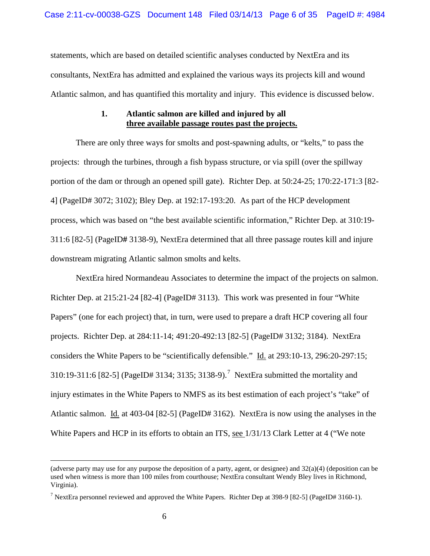statements, which are based on detailed scientific analyses conducted by NextEra and its consultants, NextEra has admitted and explained the various ways its projects kill and wound Atlantic salmon, and has quantified this mortality and injury. This evidence is discussed below.

## **1. Atlantic salmon are killed and injured by all three available passage routes past the projects.**

There are only three ways for smolts and post-spawning adults, or "kelts," to pass the projects: through the turbines, through a fish bypass structure, or via spill (over the spillway portion of the dam or through an opened spill gate). Richter Dep. at 50:24-25; 170:22-171:3 [82- 4] (PageID# 3072; 3102); Bley Dep. at 192:17-193:20. As part of the HCP development process, which was based on "the best available scientific information," Richter Dep. at 310:19- 311:6 [82-5] (PageID**#** 3138-9), NextEra determined that all three passage routes kill and injure downstream migrating Atlantic salmon smolts and kelts.

NextEra hired Normandeau Associates to determine the impact of the projects on salmon. Richter Dep. at 215:21-24 [82-4] (PageID# 3113). This work was presented in four "White Papers" (one for each project) that, in turn, were used to prepare a draft HCP covering all four projects. Richter Dep. at 284:11-14; 491:20-492:13 [82-5] (PageID# 3132; 3184). NextEra considers the White Papers to be "scientifically defensible." Id. at 293:10-13, 296:20-297:15; 310:19-311:6 [82-5] (PageID# 3134; 3135; 3138-9).<sup>[7](#page-5-0)</sup> NextEra submitted the mortality and injury estimates in the White Papers to NMFS as its best estimation of each project's "take" of Atlantic salmon. Id. at 403-04 [82-5] (PageID# 3162). NextEra is now using the analyses in the White Papers and HCP in its efforts to obtain an ITS, see  $1/31/13$  Clark Letter at 4 ("We note

 <sup>(</sup>adverse party may use for any purpose the deposition of a party, agent, or designee) and 32(a)(4) (deposition can be used when witness is more than 100 miles from courthouse; NextEra consultant Wendy Bley lives in Richmond, Virginia).

<span id="page-5-0"></span><sup>&</sup>lt;sup>7</sup> NextEra personnel reviewed and approved the White Papers. Richter Dep at 398-9 [82-5] (PageID# 3160-1).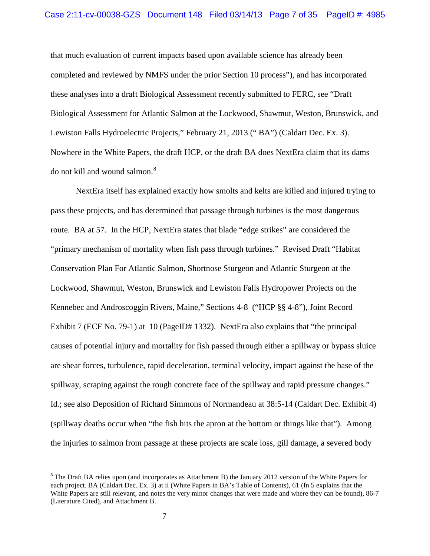#### Case 2:11-cv-00038-GZS Document 148 Filed 03/14/13 Page 7 of 35 PageID #: 4985

that much evaluation of current impacts based upon available science has already been completed and reviewed by NMFS under the prior Section 10 process"), and has incorporated these analyses into a draft Biological Assessment recently submitted to FERC, see "Draft Biological Assessment for Atlantic Salmon at the Lockwood, Shawmut, Weston, Brunswick, and Lewiston Falls Hydroelectric Projects," February 21, 2013 (" BA") (Caldart Dec. Ex. 3). Nowhere in the White Papers, the draft HCP, or the draft BA does NextEra claim that its dams do not kill and wound salmon.<sup>[8](#page-6-0)</sup>

NextEra itself has explained exactly how smolts and kelts are killed and injured trying to pass these projects, and has determined that passage through turbines is the most dangerous route. BA at 57. In the HCP, NextEra states that blade "edge strikes" are considered the "primary mechanism of mortality when fish pass through turbines." Revised Draft "Habitat Conservation Plan For Atlantic Salmon, Shortnose Sturgeon and Atlantic Sturgeon at the Lockwood, Shawmut, Weston, Brunswick and Lewiston Falls Hydropower Projects on the Kennebec and Androscoggin Rivers, Maine," Sections 4-8 ("HCP §§ 4-8"), Joint Record Exhibit 7 (ECF No. 79-1) at 10 (PageID# 1332). NextEra also explains that "the principal causes of potential injury and mortality for fish passed through either a spillway or bypass sluice are shear forces, turbulence, rapid deceleration, terminal velocity, impact against the base of the spillway, scraping against the rough concrete face of the spillway and rapid pressure changes." Id.; see also Deposition of Richard Simmons of Normandeau at 38:5-14 (Caldart Dec. Exhibit 4) (spillway deaths occur when "the fish hits the apron at the bottom or things like that"). Among the injuries to salmon from passage at these projects are scale loss, gill damage, a severed body

<span id="page-6-0"></span><sup>&</sup>lt;sup>8</sup> The Draft BA relies upon (and incorporates as Attachment B) the January 2012 version of the White Papers for each project. BA (Caldart Dec. Ex. 3) at ii (White Papers in BA's Table of Contents), 61 (fn 5 explains that the White Papers are still relevant, and notes the very minor changes that were made and where they can be found), 86-7 (Literature Cited), and Attachment B.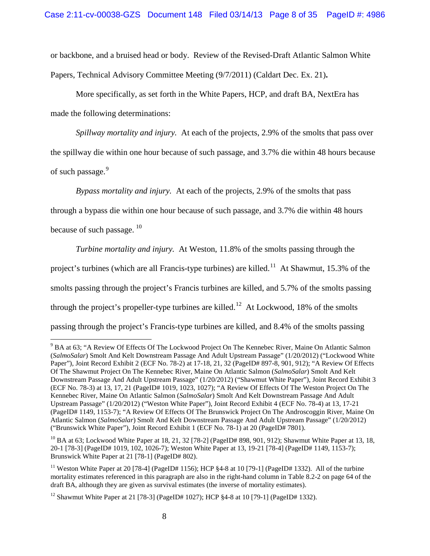or backbone, and a bruised head or body. Review of the Revised-Draft Atlantic Salmon White Papers, Technical Advisory Committee Meeting (9/7/2011) (Caldart Dec. Ex. 21)**.**

More specifically, as set forth in the White Papers, HCP, and draft BA, NextEra has made the following determinations:

*Spillway mortality and injury.* At each of the projects, 2.9% of the smolts that pass over the spillway die within one hour because of such passage, and 3.7% die within 48 hours because of such passage.<sup>[9](#page-7-0)</sup>

*Bypass mortality and injury.* At each of the projects, 2.9% of the smolts that pass

through a bypass die within one hour because of such passage, and 3.7% die within 48 hours

because of such passage.<sup>[10](#page-7-1)</sup>

*Turbine mortality and injury.* At Weston, 11.8% of the smolts passing through the project's turbines (which are all Francis-type turbines) are killed.<sup>[11](#page-7-2)</sup> At Shawmut, 15.3% of the smolts passing through the project's Francis turbines are killed, and 5.7% of the smolts passing through the project's propeller-type turbines are killed.<sup>[12](#page-7-3)</sup> At Lockwood, 18% of the smolts passing through the project's Francis-type turbines are killed, and 8.4% of the smolts passing

<span id="page-7-0"></span> <sup>9</sup> BA at 63; "A Review Of Effects Of The Lockwood Project On The Kennebec River, Maine On Atlantic Salmon (*SalmoSalar*) Smolt And Kelt Downstream Passage And Adult Upstream Passage" (1/20/2012) ("Lockwood White Paper"), Joint Record Exhibit 2 (ECF No. 78-2) at 17-18, 21, 32 (PageID# 897-8, 901, 912); "A Review Of Effects Of The Shawmut Project On The Kennebec River, Maine On Atlantic Salmon (*SalmoSalar*) Smolt And Kelt Downstream Passage And Adult Upstream Passage" (1/20/2012) ("Shawmut White Paper"), Joint Record Exhibit 3 (ECF No. 78-3) at 13, 17, 21 (PageID# 1019, 1023, 1027); "A Review Of Effects Of The Weston Project On The Kennebec River, Maine On Atlantic Salmon (*SalmoSalar*) Smolt And Kelt Downstream Passage And Adult Upstream Passage" (1/20/2012) ("Weston White Paper"), Joint Record Exhibit 4 (ECF No. 78-4) at 13, 17-21 (PageID# 1149, 1153-7); "A Review Of Effects Of The Brunswick Project On The Androscoggin River, Maine On Atlantic Salmon (*SalmoSalar*) Smolt And Kelt Downstream Passage And Adult Upstream Passage" (1/20/2012) ("Brunswick White Paper"), Joint Record Exhibit 1 (ECF No. 78-1) at 20 (PageID# 7801).

<span id="page-7-1"></span><sup>&</sup>lt;sup>10</sup> BA at 63; Lockwood White Paper at 18, 21, 32 [78-2] (PageID# 898, 901, 912); Shawmut White Paper at 13, 18, 20-1 [78-3] (PageID# 1019, 102, 1026-7); Weston White Paper at 13, 19-21 [78-4] (PageID# 1149, 1153-7); Brunswick White Paper at 21 [78-1] (PageID# 802).

<span id="page-7-2"></span><sup>&</sup>lt;sup>11</sup> Weston White Paper at 20 [78-4] (PageID# 1156); HCP  $\S 4$ -8 at 10 [79-1] (PageID# 1332). All of the turbine mortality estimates referenced in this paragraph are also in the right-hand column in Table 8.2-2 on page 64 of the draft BA, although they are given as survival estimates (the inverse of mortality estimates).

<span id="page-7-3"></span><sup>&</sup>lt;sup>12</sup> Shawmut White Paper at 21 [78-3] (PageID# 1027); HCP §4-8 at 10 [79-1] (PageID# 1332).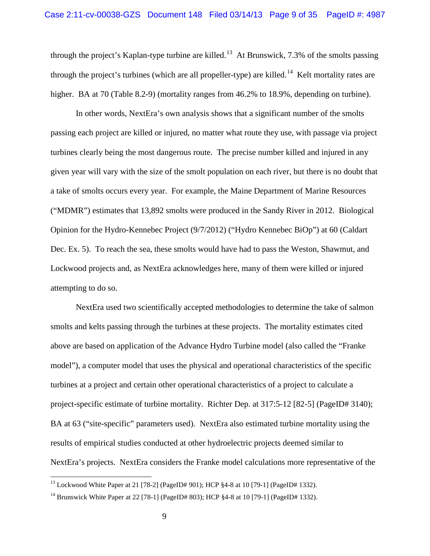through the project's Kaplan-type turbine are killed.<sup>13</sup> At Brunswick, 7.3% of the smolts passing through the project's turbines (which are all propeller-type) are killed.<sup>[14](#page-8-1)</sup> Kelt mortality rates are higher. BA at 70 (Table 8.2-9) (mortality ranges from 46.2% to 18.9%, depending on turbine).

In other words, NextEra's own analysis shows that a significant number of the smolts passing each project are killed or injured, no matter what route they use, with passage via project turbines clearly being the most dangerous route. The precise number killed and injured in any given year will vary with the size of the smolt population on each river, but there is no doubt that a take of smolts occurs every year. For example, the Maine Department of Marine Resources ("MDMR") estimates that 13,892 smolts were produced in the Sandy River in 2012. Biological Opinion for the Hydro-Kennebec Project (9/7/2012) ("Hydro Kennebec BiOp") at 60 (Caldart Dec. Ex. 5). To reach the sea, these smolts would have had to pass the Weston, Shawmut, and Lockwood projects and, as NextEra acknowledges here, many of them were killed or injured attempting to do so.

NextEra used two scientifically accepted methodologies to determine the take of salmon smolts and kelts passing through the turbines at these projects. The mortality estimates cited above are based on application of the Advance Hydro Turbine model (also called the "Franke model"), a computer model that uses the physical and operational characteristics of the specific turbines at a project and certain other operational characteristics of a project to calculate a project-specific estimate of turbine mortality. Richter Dep. at 317:5-12 [82-5] (PageID# 3140); BA at 63 ("site-specific" parameters used). NextEra also estimated turbine mortality using the results of empirical studies conducted at other hydroelectric projects deemed similar to NextEra's projects. NextEra considers the Franke model calculations more representative of the

<span id="page-8-0"></span><sup>&</sup>lt;sup>13</sup> Lockwood White Paper at 21 [78-2] (PageID# 901); HCP §4-8 at 10 [79-1] (PageID# 1332).

<span id="page-8-1"></span><sup>&</sup>lt;sup>14</sup> Brunswick White Paper at 22 [78-1] (PageID# 803); HCP §4-8 at 10 [79-1] (PageID# 1332).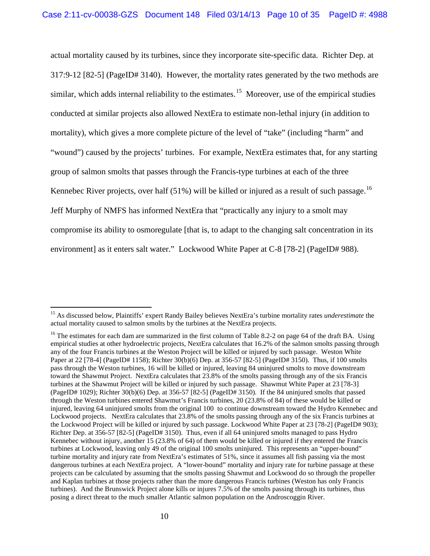actual mortality caused by its turbines, since they incorporate site-specific data. Richter Dep. at 317:9-12 [82-5] (PageID# 3140). However, the mortality rates generated by the two methods are similar, which adds internal reliability to the estimates.<sup>[15](#page-9-0)</sup> Moreover, use of the empirical studies conducted at similar projects also allowed NextEra to estimate non-lethal injury (in addition to mortality), which gives a more complete picture of the level of "take" (including "harm" and "wound") caused by the projects' turbines. For example, NextEra estimates that, for any starting group of salmon smolts that passes through the Francis-type turbines at each of the three Kennebec River projects, over half  $(51\%)$  will be killed or injured as a result of such passage.<sup>[16](#page-9-1)</sup> Jeff Murphy of NMFS has informed NextEra that "practically any injury to a smolt may compromise its ability to osmoregulate [that is, to adapt to the changing salt concentration in its environment] as it enters salt water." Lockwood White Paper at C-8 [78-2] (PageID# 988).

<span id="page-9-0"></span> <sup>15</sup> As discussed below, Plaintiffs' expert Randy Bailey believes NextEra's turbine mortality rates *underestimate* the actual mortality caused to salmon smolts by the turbines at the NextEra projects.

<span id="page-9-1"></span><sup>&</sup>lt;sup>16</sup> The estimates for each dam are summarized in the first column of Table 8.2-2 on page 64 of the draft BA. Using empirical studies at other hydroelectric projects, NextEra calculates that 16.2% of the salmon smolts passing through any of the four Francis turbines at the Weston Project will be killed or injured by such passage. Weston White Paper at 22 [78-4] (PageID# 1158); Richter 30(b)(6) Dep. at 356-57 [82-5] (PageID# 3150). Thus, if 100 smolts pass through the Weston turbines, 16 will be killed or injured, leaving 84 uninjured smolts to move downstream toward the Shawmut Project. NextEra calculates that 23.8% of the smolts passing through any of the six Francis turbines at the Shawmut Project will be killed or injured by such passage. Shawmut White Paper at 23 [78-3] (PageID# 1029); Richter 30(b)(6) Dep. at 356-57 [82-5] (PageID# 3150). If the 84 uninjured smolts that passed through the Weston turbines entered Shawmut's Francis turbines, 20 (23.8% of 84) of these would be killed or injured, leaving 64 uninjured smolts from the original 100 to continue downstream toward the Hydro Kennebec and Lockwood projects. NextEra calculates that 23.8% of the smolts passing through any of the six Francis turbines at the Lockwood Project will be killed or injured by such passage. Lockwood White Paper at 23 [78-2] (PageID# 903); Richter Dep. at 356-57 [82-5] (PageID# 3150). Thus, even if all 64 uninjured smolts managed to pass Hydro Kennebec without injury, another 15 (23.8% of 64) of them would be killed or injured if they entered the Francis turbines at Lockwood, leaving only 49 of the original 100 smolts uninjured. This represents an "upper-bound" turbine mortality and injury rate from NextEra's estimates of 51%, since it assumes all fish passing via the most dangerous turbines at each NextEra project. A "lower-bound" mortality and injury rate for turbine passage at these projects can be calculated by assuming that the smolts passing Shawmut and Lockwood do so through the propeller and Kaplan turbines at those projects rather than the more dangerous Francis turbines (Weston has only Francis turbines). And the Brunswick Project alone kills or injures 7.5% of the smolts passing through its turbines, thus posing a direct threat to the much smaller Atlantic salmon population on the Androscoggin River.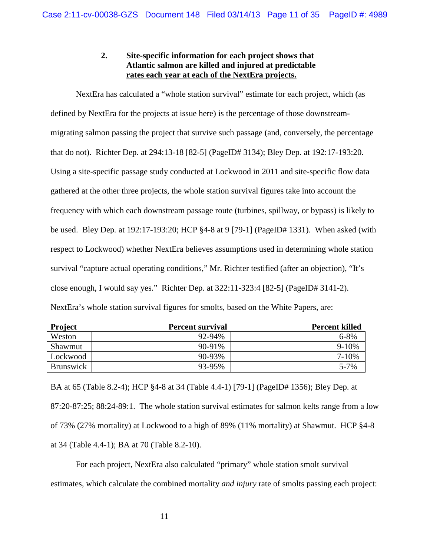# **2. Site-specific information for each project shows that Atlantic salmon are killed and injured at predictable rates each year at each of the NextEra projects.**

NextEra has calculated a "whole station survival" estimate for each project, which (as defined by NextEra for the projects at issue here) is the percentage of those downstreammigrating salmon passing the project that survive such passage (and, conversely, the percentage that do not). Richter Dep. at 294:13-18 [82-5] (PageID# 3134); Bley Dep. at 192:17-193:20. Using a site-specific passage study conducted at Lockwood in 2011 and site-specific flow data gathered at the other three projects, the whole station survival figures take into account the frequency with which each downstream passage route (turbines, spillway, or bypass) is likely to be used. Bley Dep. at 192:17-193:20; HCP §4-8 at 9 [79-1] (PageID# 1331). When asked (with respect to Lockwood) whether NextEra believes assumptions used in determining whole station survival "capture actual operating conditions," Mr. Richter testified (after an objection), "It's close enough, I would say yes." Richter Dep. at 322:11-323:4 [82-5] (PageID# 3141-2). NextEra's whole station survival figures for smolts, based on the White Papers, are:

| <b>Project</b>   | <b>Percent survival</b> | <b>Percent killed</b> |
|------------------|-------------------------|-----------------------|
| Weston           | 92-94%                  | $6 - 8\%$             |
| Shawmut          | $90 - 91\%$             | $9-10%$               |
| Lockwood         | 90-93%                  | $7 - 10%$             |
| <b>Brunswick</b> | 93-95%                  | $5 - 7%$              |

BA at 65 (Table 8.2-4); HCP §4-8 at 34 (Table 4.4-1) [79-1] (PageID# 1356); Bley Dep. at 87:20-87:25; 88:24-89:1. The whole station survival estimates for salmon kelts range from a low of 73% (27% mortality) at Lockwood to a high of 89% (11% mortality) at Shawmut. HCP §4-8 at 34 (Table 4.4-1); BA at 70 (Table 8.2-10).

For each project, NextEra also calculated "primary" whole station smolt survival estimates, which calculate the combined mortality *and injury* rate of smolts passing each project: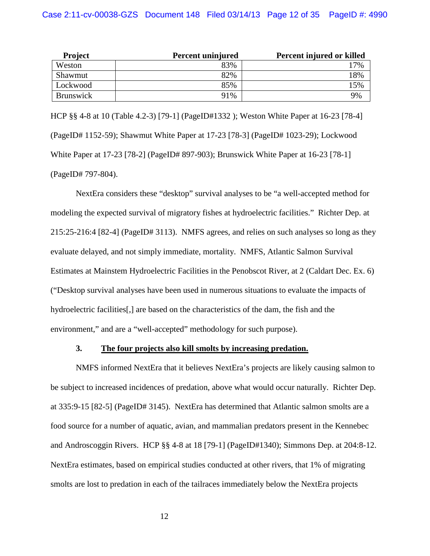| <b>Project</b>   | Percent uninjured | Percent injured or killed |
|------------------|-------------------|---------------------------|
| Weston           | 83%               | 7%                        |
| Shawmut          | 82%               | 18%                       |
| Lockwood         | 85%               | 15%                       |
| <b>Brunswick</b> | 91%               | 9%                        |

HCP §§ 4-8 at 10 (Table 4.2-3) [79-1] (PageID#1332 ); Weston White Paper at 16-23 [78-4] (PageID# 1152-59); Shawmut White Paper at 17-23 [78-3] (PageID# 1023-29); Lockwood White Paper at 17-23 [78-2] (PageID# 897-903); Brunswick White Paper at 16-23 [78-1] (PageID# 797-804).

NextEra considers these "desktop" survival analyses to be "a well-accepted method for modeling the expected survival of migratory fishes at hydroelectric facilities." Richter Dep. at 215:25-216:4 [82-4] (PageID# 3113). NMFS agrees, and relies on such analyses so long as they evaluate delayed, and not simply immediate, mortality. NMFS, Atlantic Salmon Survival Estimates at Mainstem Hydroelectric Facilities in the Penobscot River, at 2 (Caldart Dec. Ex. 6) ("Desktop survival analyses have been used in numerous situations to evaluate the impacts of hydroelectric facilities[,] are based on the characteristics of the dam, the fish and the environment," and are a "well-accepted" methodology for such purpose).

### **3. The four projects also kill smolts by increasing predation.**

NMFS informed NextEra that it believes NextEra's projects are likely causing salmon to be subject to increased incidences of predation, above what would occur naturally. Richter Dep. at 335:9-15 [82-5] (PageID# 3145). NextEra has determined that Atlantic salmon smolts are a food source for a number of aquatic, avian, and mammalian predators present in the Kennebec and Androscoggin Rivers. HCP §§ 4-8 at 18 [79-1] (PageID#1340); Simmons Dep. at 204:8-12. NextEra estimates, based on empirical studies conducted at other rivers, that 1% of migrating smolts are lost to predation in each of the tailraces immediately below the NextEra projects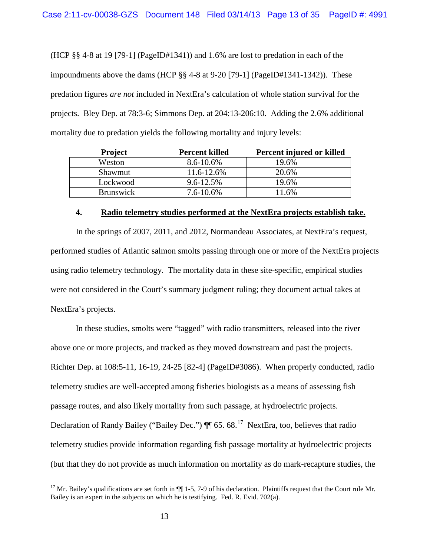(HCP §§ 4-8 at 19 [79-1] (PageID#1341)) and 1.6% are lost to predation in each of the impoundments above the dams (HCP §§ 4-8 at 9-20 [79-1] (PageID#1341-1342)). These predation figures *are not* included in NextEra's calculation of whole station survival for the projects. Bley Dep. at 78:3-6; Simmons Dep. at 204:13-206:10. Adding the 2.6% additional mortality due to predation yields the following mortality and injury levels:

|  | <b>Project</b>   | <b>Percent killed</b> | Percent injured or killed |
|--|------------------|-----------------------|---------------------------|
|  | Weston           | 8.6-10.6%             | 19.6%                     |
|  | Shawmut          | 11.6-12.6%            | 20.6%                     |
|  | Lockwood         | 9.6-12.5%             | 19.6%                     |
|  | <b>Brunswick</b> | $7.6 - 10.6\%$        | 1.6%                      |

#### **4. Radio telemetry studies performed at the NextEra projects establish take.**

In the springs of 2007, 2011, and 2012, Normandeau Associates, at NextEra's request, performed studies of Atlantic salmon smolts passing through one or more of the NextEra projects using radio telemetry technology. The mortality data in these site-specific, empirical studies were not considered in the Court's summary judgment ruling; they document actual takes at NextEra's projects.

In these studies, smolts were "tagged" with radio transmitters, released into the river above one or more projects, and tracked as they moved downstream and past the projects. Richter Dep. at 108:5-11, 16-19, 24-25 [82-4] (PageID#3086). When properly conducted, radio telemetry studies are well-accepted among fisheries biologists as a means of assessing fish passage routes, and also likely mortality from such passage, at hydroelectric projects. Declaration of Randy Bailey ("Bailey Dec.")  $\P$  65. 68.<sup>[17](#page-12-0)</sup> NextEra, too, believes that radio telemetry studies provide information regarding fish passage mortality at hydroelectric projects (but that they do not provide as much information on mortality as do mark-recapture studies, the

<span id="page-12-0"></span><sup>&</sup>lt;sup>17</sup> Mr. Bailey's qualifications are set forth in  $\P\P$  1-5, 7-9 of his declaration. Plaintiffs request that the Court rule Mr. Bailey is an expert in the subjects on which he is testifying. Fed. R. Evid. 702(a).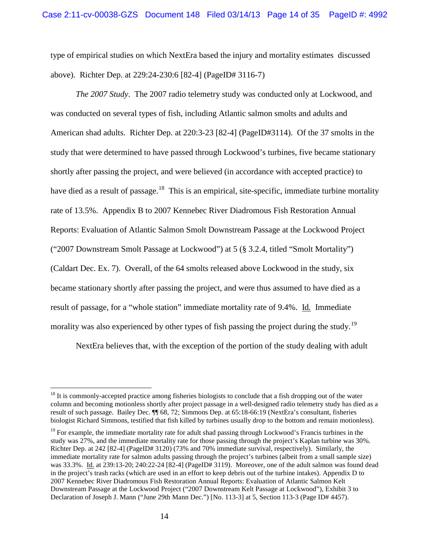type of empirical studies on which NextEra based the injury and mortality estimates discussed above). Richter Dep. at 229:24-230:6 [82-4] (PageID# 3116-7)

*The 2007 Study*. The 2007 radio telemetry study was conducted only at Lockwood, and was conducted on several types of fish, including Atlantic salmon smolts and adults and American shad adults. Richter Dep. at 220:3-23 [82-4] (PageID#3114). Of the 37 smolts in the study that were determined to have passed through Lockwood's turbines, five became stationary shortly after passing the project, and were believed (in accordance with accepted practice) to have died as a result of passage.<sup>[18](#page-13-0)</sup> This is an empirical, site-specific, immediate turbine mortality rate of 13.5%. Appendix B to 2007 Kennebec River Diadromous Fish Restoration Annual Reports: Evaluation of Atlantic Salmon Smolt Downstream Passage at the Lockwood Project ("2007 Downstream Smolt Passage at Lockwood") at 5 (§ 3.2.4, titled "Smolt Mortality") (Caldart Dec. Ex. 7). Overall, of the 64 smolts released above Lockwood in the study, six became stationary shortly after passing the project, and were thus assumed to have died as a result of passage, for a "whole station" immediate mortality rate of 9.4%. Id. Immediate morality was also experienced by other types of fish passing the project during the study.<sup>[19](#page-13-1)</sup>

NextEra believes that, with the exception of the portion of the study dealing with adult

<span id="page-13-0"></span> $18$  It is commonly-accepted practice among fisheries biologists to conclude that a fish dropping out of the water column and becoming motionless shortly after project passage in a well-designed radio telemetry study has died as a result of such passage. Bailey Dec. ¶¶ 68, 72; Simmons Dep. at 65:18-66:19 (NextEra's consultant, fisheries biologist Richard Simmons, testified that fish killed by turbines usually drop to the bottom and remain motionless).

<span id="page-13-1"></span><sup>&</sup>lt;sup>19</sup> For example, the immediate mortality rate for adult shad passing through Lockwood's Francis turbines in the study was 27%, and the immediate mortality rate for those passing through the project's Kaplan turbine was 30%. Richter Dep. at 242 [82-4] (PageID# 3120) (73% and 70% immediate survival, respectively). Similarly, the immediate mortality rate for salmon adults passing through the project's turbines (albeit from a small sample size) was 33.3%. Id. at 239:13-20; 240:22-24 [82-4] (PageID# 3119). Moreover, one of the adult salmon was found dead in the project's trash racks (which are used in an effort to keep debris out of the turbine intakes). Appendix D to 2007 Kennebec River Diadromous Fish Restoration Annual Reports: Evaluation of Atlantic Salmon Kelt Downstream Passage at the Lockwood Project ("2007 Downstream Kelt Passage at Lockwood"), Exhibit 3 to Declaration of Joseph J. Mann ("June 29th Mann Dec.") [No. 113-3] at 5, Section 113-3 (Page ID# 4457).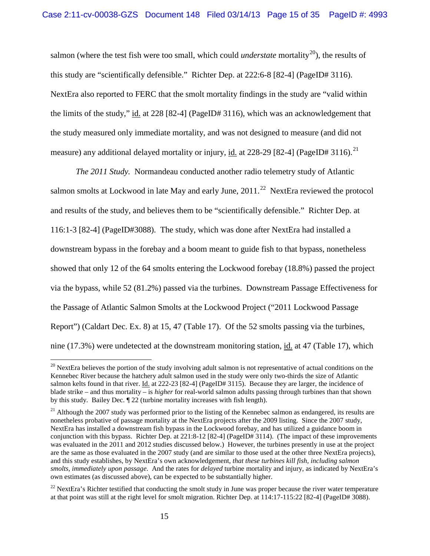salmon (where the test fish were too small, which could *understate* mortality<sup>[20](#page-14-0)</sup>), the results of this study are "scientifically defensible." Richter Dep. at 222:6-8 [82-4] (PageID# 3116). NextEra also reported to FERC that the smolt mortality findings in the study are "valid within the limits of the study," id. at 228 [82-4] (PageID# 3116), which was an acknowledgement that the study measured only immediate mortality, and was not designed to measure (and did not measure) any additional delayed mortality or injury, id. at 228-29 [82-4] (PageID# 3116).<sup>[21](#page-14-1)</sup>

*The 2011 Study.* Normandeau conducted another radio telemetry study of Atlantic salmon smolts at Lockwood in late May and early June,  $2011$ <sup>[22](#page-14-2)</sup> NextEra reviewed the protocol and results of the study, and believes them to be "scientifically defensible." Richter Dep. at 116:1-3 [82-4] (PageID#3088). The study, which was done after NextEra had installed a downstream bypass in the forebay and a boom meant to guide fish to that bypass, nonetheless showed that only 12 of the 64 smolts entering the Lockwood forebay (18.8%) passed the project via the bypass, while 52 (81.2%) passed via the turbines. Downstream Passage Effectiveness for the Passage of Atlantic Salmon Smolts at the Lockwood Project ("2011 Lockwood Passage Report") (Caldart Dec. Ex. 8) at 15, 47 (Table 17). Of the 52 smolts passing via the turbines, nine (17.3%) were undetected at the downstream monitoring station, id. at 47 (Table 17), which

<span id="page-14-0"></span><sup>&</sup>lt;sup>20</sup> NextEra believes the portion of the study involving adult salmon is not representative of actual conditions on the Kennebec River because the hatchery adult salmon used in the study were only two-thirds the size of Atlantic salmon kelts found in that river. Id. at 222-23 [82-4] (PageID# 3115). Because they are larger, the incidence of blade strike – and thus mortality – is *higher* for real-world salmon adults passing through turbines than that shown by this study. Bailey Dec. ¶ 22 (turbine mortality increases with fish length).

<span id="page-14-1"></span> $21$  Although the 2007 study was performed prior to the listing of the Kennebec salmon as endangered, its results are nonetheless probative of passage mortality at the NextEra projects after the 2009 listing. Since the 2007 study, NextEra has installed a downstream fish bypass in the Lockwood forebay, and has utilized a guidance boom in conjunction with this bypass. Richter Dep. at 221:8-12 [82-4] (PageID# 3114). (The impact of these improvements was evaluated in the 2011 and 2012 studies discussed below.) However, the turbines presently in use at the project are the same as those evaluated in the 2007 study (and are similar to those used at the other three NextEra projects), and this study establishes, by NextEra's own acknowledgement, *that these turbines kill fish, including salmon smolts, immediately upon passage*. And the rates for *delayed* turbine mortality and injury, as indicated by NextEra's own estimates (as discussed above), can be expected to be substantially higher.

<span id="page-14-2"></span> $^{22}$  NextEra's Richter testified that conducting the smolt study in June was proper because the river water temperature at that point was still at the right level for smolt migration. Richter Dep. at 114:17-115:22 [82-4] (PageID# 3088).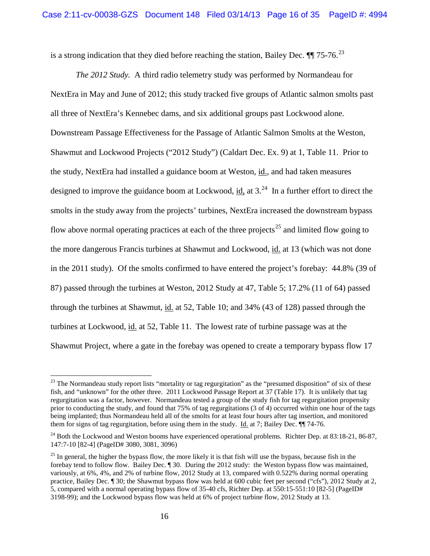is a strong indication that they died before reaching the station, Bailey Dec.  $\P$  75-76.<sup>[23](#page-15-0)</sup>

*The 2012 Study.* A third radio telemetry study was performed by Normandeau for NextEra in May and June of 2012; this study tracked five groups of Atlantic salmon smolts past all three of NextEra's Kennebec dams, and six additional groups past Lockwood alone. Downstream Passage Effectiveness for the Passage of Atlantic Salmon Smolts at the Weston, Shawmut and Lockwood Projects ("2012 Study") (Caldart Dec. Ex. 9) at 1, Table 11. Prior to the study, NextEra had installed a guidance boom at Weston, id., and had taken measures designed to improve the guidance boom at Lockwood, id, at  $3.^{24}$  $3.^{24}$  $3.^{24}$  In a further effort to direct the smolts in the study away from the projects' turbines, NextEra increased the downstream bypass flow above normal operating practices at each of the three projects<sup>[25](#page-15-2)</sup> and limited flow going to the more dangerous Francis turbines at Shawmut and Lockwood, id. at 13 (which was not done in the 2011 study). Of the smolts confirmed to have entered the project's forebay: 44.8% (39 of 87) passed through the turbines at Weston, 2012 Study at 47, Table 5; 17.2% (11 of 64) passed through the turbines at Shawmut, id. at 52, Table 10; and 34% (43 of 128) passed through the turbines at Lockwood, id. at 52, Table 11. The lowest rate of turbine passage was at the Shawmut Project, where a gate in the forebay was opened to create a temporary bypass flow 17

<span id="page-15-0"></span> $23$  The Normandeau study report lists "mortality or tag regurgitation" as the "presumed disposition" of six of these fish, and "unknown" for the other three. 2011 Lockwood Passage Report at 37 (Table 17). It is unlikely that tag regurgitation was a factor, however. Normandeau tested a group of the study fish for tag regurgitation propensity prior to conducting the study, and found that 75% of tag regurgitations (3 of 4) occurred within one hour of the tags being implanted; thus Normandeau held all of the smolts for at least four hours after tag insertion, and monitored them for signs of tag regurgitation, before using them in the study. Id. at 7; Bailey Dec. ¶¶ 74-76.

<span id="page-15-1"></span><sup>&</sup>lt;sup>24</sup> Both the Lockwood and Weston booms have experienced operational problems. Richter Dep. at 83:18-21, 86-87, 147:7-10 [82-4] (PageID# 3080, 3081, 3096)

<span id="page-15-2"></span> $^{25}$  In general, the higher the bypass flow, the more likely it is that fish will use the bypass, because fish in the forebay tend to follow flow. Bailey Dec. ¶ 30. During the 2012 study: the Weston bypass flow was maintained, variously, at 6%, 4%, and 2% of turbine flow, 2012 Study at 13, compared with 0.522% during normal operating practice, Bailey Dec. ¶ 30; the Shawmut bypass flow was held at 600 cubic feet per second ("cfs"), 2012 Study at 2, 5, compared with a normal operating bypass flow of 35-40 cfs, Richter Dep. at 550:15-551:10 [82-5] (PageID# 3198-99); and the Lockwood bypass flow was held at 6% of project turbine flow, 2012 Study at 13.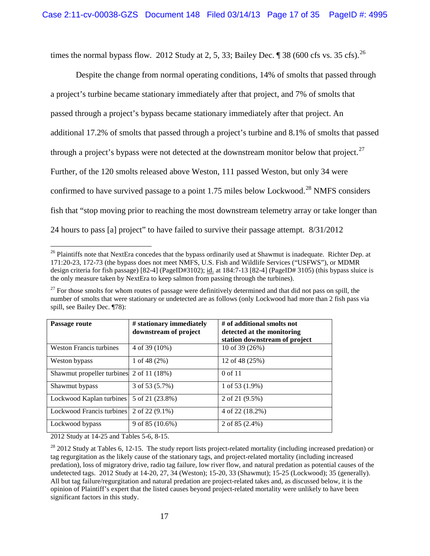times the normal bypass flow. 2012 Study at 2, 5, 33; Bailey Dec.  $\parallel$  38 (600 cfs vs. 35 cfs). <sup>[26](#page-16-0)</sup>

Despite the change from normal operating conditions, 14% of smolts that passed through a project's turbine became stationary immediately after that project, and 7% of smolts that passed through a project's bypass became stationary immediately after that project. An additional 17.2% of smolts that passed through a project's turbine and 8.1% of smolts that passed through a project's bypass were not detected at the downstream monitor below that project.<sup>[27](#page-16-1)</sup> Further, of the 120 smolts released above Weston, 111 passed Weston, but only 34 were confirmed to have survived passage to a point 1.75 miles below Lockwood.<sup>[28](#page-16-2)</sup> NMFS considers fish that "stop moving prior to reaching the most downstream telemetry array or take longer than 24 hours to pass [a] project" to have failed to survive their passage attempt. 8/31/2012

<span id="page-16-1"></span> $27$  For those smolts for whom routes of passage were definitively determined and that did not pass on spill, the number of smolts that were stationary or undetected are as follows (only Lockwood had more than 2 fish pass via spill, see Bailey Dec. ¶78):

| Passage route                            | # stationary immediately<br>downstream of project | # of additional smolts not<br>detected at the monitoring<br>station downstream of project |
|------------------------------------------|---------------------------------------------------|-------------------------------------------------------------------------------------------|
| Weston Francis turbines                  | 4 of 39 (10%)                                     | 10 of 39 (26%)                                                                            |
| Weston bypass                            | 1 of 48 $(2%)$                                    | 12 of 48 (25%)                                                                            |
| Shawmut propeller turbines 2 of 11 (18%) |                                                   | $0 \text{ of } 11$                                                                        |
| Shawmut bypass                           | 3 of 53 (5.7%)                                    | 1 of 53 $(1.9\%)$                                                                         |
| Lockwood Kaplan turbines                 | 5 of 21 (23.8%)                                   | 2 of 21 (9.5%)                                                                            |
| Lockwood Francis turbines                | 2 of 22 $(9.1\%)$                                 | 4 of 22 (18.2%)                                                                           |
| Lockwood bypass                          | 9 of 85 $(10.6\%)$                                | 2 of 85 $(2.4\%)$                                                                         |

2012 Study at 14-25 and Tables 5-6, 8-15.

<span id="page-16-0"></span><sup>&</sup>lt;sup>26</sup> Plaintiffs note that NextEra concedes that the bypass ordinarily used at Shawmut is inadequate. Richter Dep. at 171:20-23, 172-73 (the bypass does not meet NMFS, U.S. Fish and Wildlife Services ("USFWS"), or MDMR design criteria for fish passage) [82-4] (PageID#3102); id. at 184:7-13 [82-4] (PageID# 3105) (this bypass sluice is the only measure taken by NextEra to keep salmon from passing through the turbines).

<span id="page-16-2"></span><sup>&</sup>lt;sup>28</sup> 2012 Study at Tables 6, 12-15. The study report lists project-related mortality (including increased predation) or tag regurgitation as the likely cause of the stationary tags, and project-related mortality (including increased predation), loss of migratory drive, radio tag failure, low river flow, and natural predation as potential causes of the undetected tags. 2012 Study at 14-20, 27, 34 (Weston); 15-20, 33 (Shawmut); 15-25 (Lockwood); 35 (generally). All but tag failure/regurgitation and natural predation are project-related takes and, as discussed below, it is the opinion of Plaintiff's expert that the listed causes beyond project-related mortality were unlikely to have been significant factors in this study.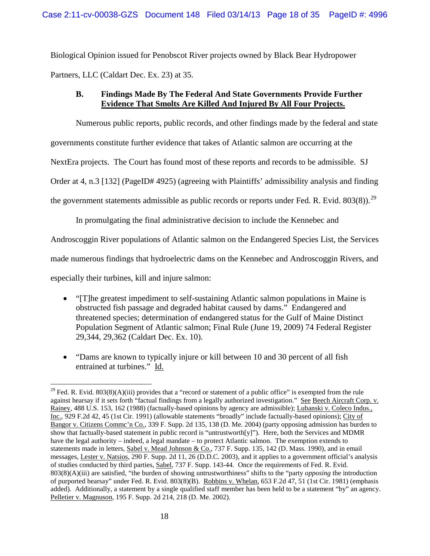Biological Opinion issued for Penobscot River projects owned by Black Bear Hydropower Partners, LLC (Caldart Dec. Ex. 23) at 35.

# **B. Findings Made By The Federal And State Governments Provide Further Evidence That Smolts Are Killed And Injured By All Four Projects.**

Numerous public reports, public records, and other findings made by the federal and state governments constitute further evidence that takes of Atlantic salmon are occurring at the NextEra projects. The Court has found most of these reports and records to be admissible. SJ Order at 4, n.3 [132] (PageID# 4925) (agreeing with Plaintiffs' admissibility analysis and finding the government statements admissible as public records or reports under Fed. R. Evid. 803(8)).<sup>[29](#page-17-0)</sup>

In promulgating the final administrative decision to include the Kennebec and

Androscoggin River populations of Atlantic salmon on the Endangered Species List, the Services

made numerous findings that hydroelectric dams on the Kennebec and Androscoggin Rivers, and

especially their turbines, kill and injure salmon:

- "[T]he greatest impediment to self-sustaining Atlantic salmon populations in Maine is obstructed fish passage and degraded habitat caused by dams." Endangered and threatened species; determination of endangered status for the Gulf of Maine Distinct Population Segment of Atlantic salmon; Final Rule (June 19, 2009) 74 Federal Register 29,344, 29,362 (Caldart Dec. Ex. 10).
- "Dams are known to typically injure or kill between 10 and 30 percent of all fish entrained at turbines." Id.

<span id="page-17-0"></span><sup>&</sup>lt;sup>29</sup> Fed. R. Evid. 803(8)(A)(iii) provides that a "record or statement of a public office" is exempted from the rule against hearsay if it sets forth "factual findings from a legally authorized investigation." See Beech Aircraft Corp. v. Rainey, 488 U.S. 153, 162 (1988) (factually-based opinions by agency are admissible); Lubanski v. Coleco Indus., Inc., 929 F.2d 42, 45 (1st Cir. 1991) (allowable statements "broadly" include factually-based opinions); City of Bangor v. Citizens Commc'n Co., 339 F. Supp. 2d 135, 138 (D. Me. 2004) (party opposing admission has burden to show that factually-based statement in public record is "untrustworth[y]"). Here, both the Services and MDMR have the legal authority – indeed, a legal mandate – to protect Atlantic salmon. The exemption extends to statements made in letters, Sabel v. Mead Johnson & Co., 737 F. Supp. 135, 142 (D. Mass. 1990), and in email messages, Lester v. Natsios, 290 F. Supp. 2d 11, 26 (D.D.C. 2003), and it applies to a government official's analysis of studies conducted by third parties, Sabel, 737 F. Supp. 143-44. Once the requirements of Fed. R. Evid. 803(8)(A)(iii) are satisfied, "the burden of showing untrustworthiness" shifts to the "party *opposing* the introduction of purported hearsay" under Fed. R. Evid. 803(8)(B). Robbins v. Whelan, 653 F.2d 47, 51 (1st Cir. 1981) (emphasis added). Additionally, a statement by a single qualified staff member has been held to be a statement "by" an agency. Pelletier v. Magnuson, 195 F. Supp. 2d 214, 218 (D. Me. 2002).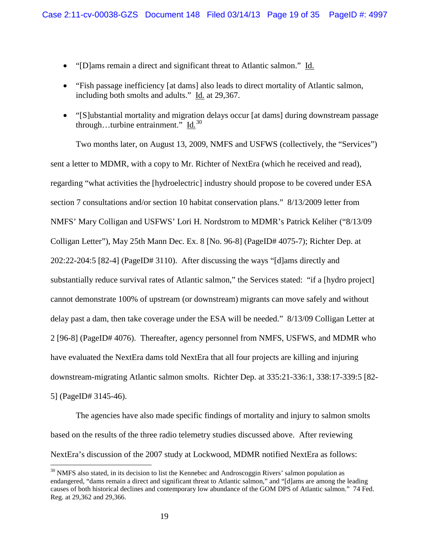- "[D]ams remain a direct and significant threat to Atlantic salmon." Id.
- "Fish passage inefficiency [at dams] also leads to direct mortality of Atlantic salmon, including both smolts and adults." Id. at 29,367.
- "[S]ubstantial mortality and migration delays occur [at dams] during downstream passage through...turbine entrainment." Id. $30$

Two months later, on August 13, 2009, NMFS and USFWS (collectively, the "Services") sent a letter to MDMR, with a copy to Mr. Richter of NextEra (which he received and read), regarding "what activities the [hydroelectric] industry should propose to be covered under ESA section 7 consultations and/or section 10 habitat conservation plans." 8/13/2009 letter from NMFS' Mary Colligan and USFWS' Lori H. Nordstrom to MDMR's Patrick Keliher ("8/13/09 Colligan Letter"), May 25th Mann Dec. Ex. 8 [No. 96-8] (PageID# 4075-7); Richter Dep. at 202:22-204:5 [82-4] (PageID# 3110). After discussing the ways "[d]ams directly and substantially reduce survival rates of Atlantic salmon," the Services stated: "if a [hydro project] cannot demonstrate 100% of upstream (or downstream) migrants can move safely and without delay past a dam, then take coverage under the ESA will be needed." 8/13/09 Colligan Letter at 2 [96-8] (PageID# 4076). Thereafter, agency personnel from NMFS, USFWS, and MDMR who have evaluated the NextEra dams told NextEra that all four projects are killing and injuring downstream-migrating Atlantic salmon smolts. Richter Dep. at 335:21-336:1, 338:17-339:5 [82- 5] (PageID# 3145-46).

The agencies have also made specific findings of mortality and injury to salmon smolts based on the results of the three radio telemetry studies discussed above. After reviewing NextEra's discussion of the 2007 study at Lockwood, MDMR notified NextEra as follows:

<span id="page-18-0"></span> $30$  NMFS also stated, in its decision to list the Kennebec and Androscoggin Rivers' salmon population as endangered, "dams remain a direct and significant threat to Atlantic salmon," and "[d]ams are among the leading causes of both historical declines and contemporary low abundance of the GOM DPS of Atlantic salmon." 74 Fed. Reg. at 29,362 and 29,366.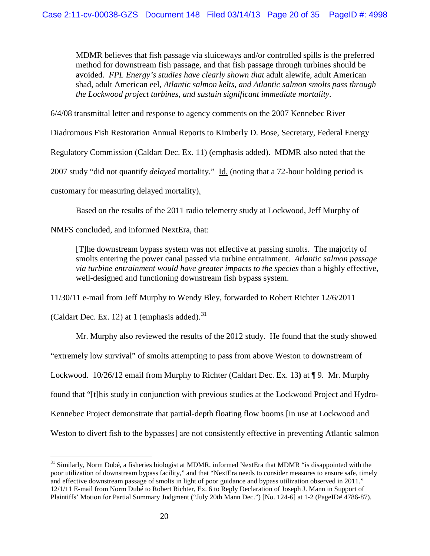MDMR believes that fish passage via sluiceways and/or controlled spills is the preferred method for downstream fish passage, and that fish passage through turbines should be avoided. *FPL Energy's studies have clearly shown that* adult alewife, adult American shad, adult American eel, *Atlantic salmon kelts, and Atlantic salmon smolts pass through the Lockwood project turbines, and sustain significant immediate mortality*.

6/4/08 transmittal letter and response to agency comments on the 2007 Kennebec River

Diadromous Fish Restoration Annual Reports to Kimberly D. Bose, Secretary, Federal Energy

Regulatory Commission (Caldart Dec. Ex. 11) (emphasis added). MDMR also noted that the

2007 study "did not quantify *delayed* mortality." Id. (noting that a 72-hour holding period is

customary for measuring delayed mortality).

Based on the results of the 2011 radio telemetry study at Lockwood, Jeff Murphy of

NMFS concluded, and informed NextEra, that:

[T]he downstream bypass system was not effective at passing smolts. The majority of smolts entering the power canal passed via turbine entrainment. *Atlantic salmon passage via turbine entrainment would have greater impacts to the species* than a highly effective, well-designed and functioning downstream fish bypass system.

11/30/11 e-mail from Jeff Murphy to Wendy Bley, forwarded to Robert Richter 12/6/2011

(Caldart Dec. Ex. 12) at 1 (emphasis added). $31$ 

Mr. Murphy also reviewed the results of the 2012 study. He found that the study showed "extremely low survival" of smolts attempting to pass from above Weston to downstream of Lockwood. 10/26/12 email from Murphy to Richter (Caldart Dec. Ex. 13**)** at ¶ 9. Mr. Murphy found that "[t]his study in conjunction with previous studies at the Lockwood Project and Hydro-Kennebec Project demonstrate that partial-depth floating flow booms [in use at Lockwood and Weston to divert fish to the bypasses] are not consistently effective in preventing Atlantic salmon

<span id="page-19-0"></span><sup>&</sup>lt;sup>31</sup> Similarly, Norm Dubé, a fisheries biologist at MDMR, informed NextEra that MDMR "is disappointed with the poor utilization of downstream bypass facility," and that "NextEra needs to consider measures to ensure safe, timely and effective downstream passage of smolts in light of poor guidance and bypass utilization observed in 2011." 12/1/11 E-mail from Norm Dubé to Robert Richter, Ex. 6 to Reply Declaration of Joseph J. Mann in Support of Plaintiffs' Motion for Partial Summary Judgment ("July 20th Mann Dec.") [No. 124-6] at 1-2 (PageID# 4786-87).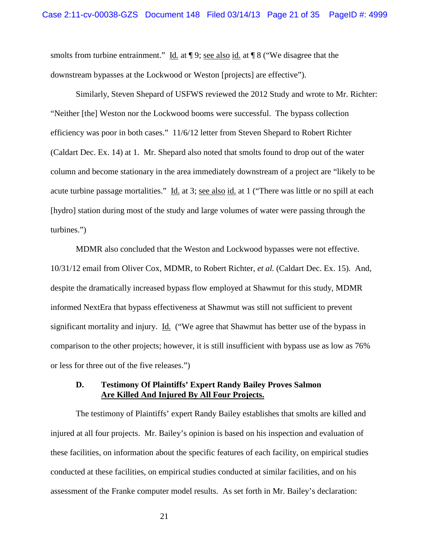smolts from turbine entrainment." Id. at  $\P$ 9; see also id. at  $\P$ 8 ("We disagree that the downstream bypasses at the Lockwood or Weston [projects] are effective").

Similarly, Steven Shepard of USFWS reviewed the 2012 Study and wrote to Mr. Richter: "Neither [the] Weston nor the Lockwood booms were successful. The bypass collection efficiency was poor in both cases." 11/6/12 letter from Steven Shepard to Robert Richter (Caldart Dec. Ex. 14) at 1. Mr. Shepard also noted that smolts found to drop out of the water column and become stationary in the area immediately downstream of a project are "likely to be acute turbine passage mortalities." Id. at 3; see also id. at 1 ("There was little or no spill at each [hydro] station during most of the study and large volumes of water were passing through the turbines.")

MDMR also concluded that the Weston and Lockwood bypasses were not effective. 10/31/12 email from Oliver Cox, MDMR, to Robert Richter, *et al.* (Caldart Dec. Ex. 15). And, despite the dramatically increased bypass flow employed at Shawmut for this study, MDMR informed NextEra that bypass effectiveness at Shawmut was still not sufficient to prevent significant mortality and injury. Id. ("We agree that Shawmut has better use of the bypass in comparison to the other projects; however, it is still insufficient with bypass use as low as 76% or less for three out of the five releases.")

### **D. Testimony Of Plaintiffs' Expert Randy Bailey Proves Salmon Are Killed And Injured By All Four Projects.**

The testimony of Plaintiffs' expert Randy Bailey establishes that smolts are killed and injured at all four projects. Mr. Bailey's opinion is based on his inspection and evaluation of these facilities, on information about the specific features of each facility, on empirical studies conducted at these facilities, on empirical studies conducted at similar facilities, and on his assessment of the Franke computer model results. As set forth in Mr. Bailey's declaration:

21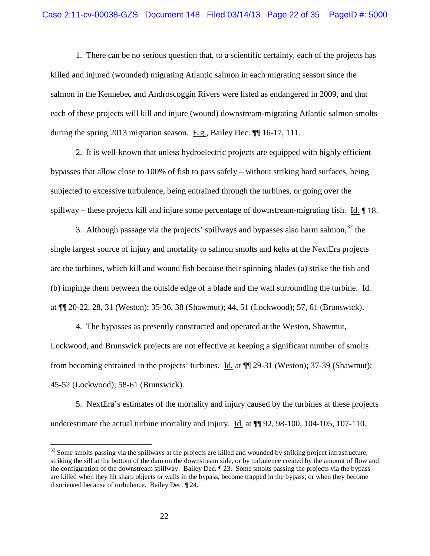1. There can be no serious question that, to a scientific certainty, each of the projects has killed and injured (wounded) migrating Atlantic salmon in each migrating season since the salmon in the Kennebec and Androscoggin Rivers were listed as endangered in 2009, and that each of these projects will kill and injure (wound) downstream-migrating Atlantic salmon smolts during the spring 2013 migration season. E.g., Bailey Dec. ¶¶ 16-17, 111.

2. It is well-known that unless hydroelectric projects are equipped with highly efficient bypasses that allow close to 100% of fish to pass safely – without striking hard surfaces, being subjected to excessive turbulence, being entrained through the turbines, or going over the spillway – these projects kill and injure some percentage of downstream-migrating fish. Id. ¶ 18.

3. Although passage via the projects' spillways and bypasses also harm salmon,  $32$  the single largest source of injury and mortality to salmon smolts and kelts at the NextEra projects are the turbines, which kill and wound fish because their spinning blades (a) strike the fish and (b) impinge them between the outside edge of a blade and the wall surrounding the turbine. Id. at ¶¶ 20-22, 28, 31 (Weston); 35-36, 38 (Shawmut); 44, 51 (Lockwood); 57, 61 (Brunswick).

4. The bypasses as presently constructed and operated at the Weston, Shawmut, Lockwood, and Brunswick projects are not effective at keeping a significant number of smolts from becoming entrained in the projects' turbines. Id. at ¶¶ 29-31 (Weston); 37-39 (Shawmut); 45-52 (Lockwood); 58-61 (Brunswick).

5. NextEra's estimates of the mortality and injury caused by the turbines at these projects underestimate the actual turbine mortality and injury. Id. at  $\P$  92, 98-100, 104-105, 107-110.

<span id="page-21-0"></span><sup>&</sup>lt;sup>32</sup> Some smolts passing via the spillways at the projects are killed and wounded by striking project infrastructure, striking the sill at the bottom of the dam on the downstream side, or by turbulence created by the amount of flow and the configuration of the downstream spillway. Bailey Dec. ¶ 23. Some smolts passing the projects via the bypass are killed when they hit sharp objects or walls in the bypass, become trapped in the bypass, or when they become disoriented because of turbulence. Bailey Dec. ¶ 24.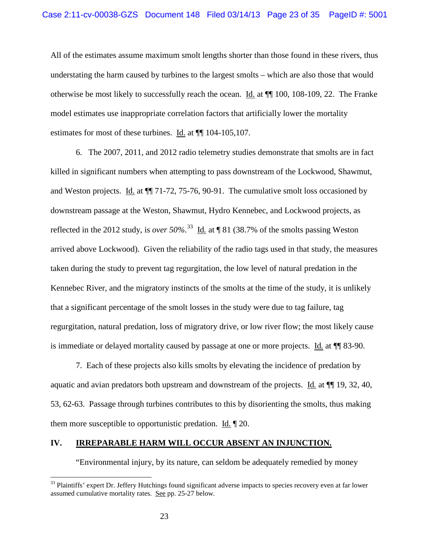All of the estimates assume maximum smolt lengths shorter than those found in these rivers, thus understating the harm caused by turbines to the largest smolts – which are also those that would otherwise be most likely to successfully reach the ocean. Id. at ¶¶ 100, 108-109, 22. The Franke model estimates use inappropriate correlation factors that artificially lower the mortality estimates for most of these turbines. Id. at ¶¶ 104-105,107.

6. The 2007, 2011, and 2012 radio telemetry studies demonstrate that smolts are in fact killed in significant numbers when attempting to pass downstream of the Lockwood, Shawmut, and Weston projects. Id. at  $\P$  71-72, 75-76, 90-91. The cumulative smolt loss occasioned by downstream passage at the Weston, Shawmut, Hydro Kennebec, and Lockwood projects, as reflected in the 2012 study, is *over* 50%.<sup>[33](#page-22-0)</sup> Id. at  $\llbracket 81 \text{ } (38.7\% \text{ of the smolts passing Weston})$ arrived above Lockwood). Given the reliability of the radio tags used in that study, the measures taken during the study to prevent tag regurgitation, the low level of natural predation in the Kennebec River, and the migratory instincts of the smolts at the time of the study, it is unlikely that a significant percentage of the smolt losses in the study were due to tag failure, tag regurgitation, natural predation, loss of migratory drive, or low river flow; the most likely cause is immediate or delayed mortality caused by passage at one or more projects. Id. at ¶¶ 83-90.

7. Each of these projects also kills smolts by elevating the incidence of predation by aquatic and avian predators both upstream and downstream of the projects. Id. at  $\P$  19, 32, 40, 53, 62-63. Passage through turbines contributes to this by disorienting the smolts, thus making them more susceptible to opportunistic predation. Id. ¶ 20.

#### **IV. IRREPARABLE HARM WILL OCCUR ABSENT AN INJUNCTION.**

"Environmental injury, by its nature, can seldom be adequately remedied by money

<span id="page-22-0"></span> $33$  Plaintiffs' expert Dr. Jeffery Hutchings found significant adverse impacts to species recovery even at far lower assumed cumulative mortality rates. See pp. 25-27 below.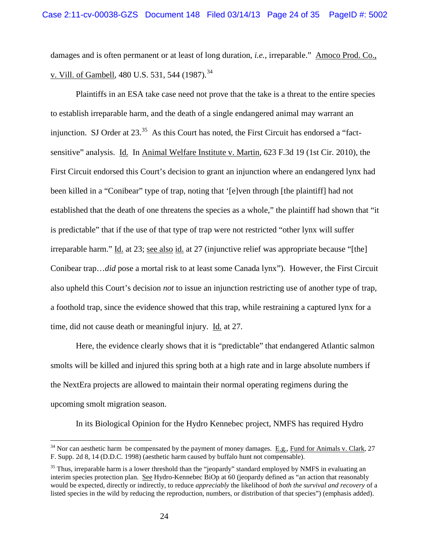damages and is often permanent or at least of long duration, *i.e.*, irreparable." Amoco Prod. Co., v. Vill. of Gambell, 480 U.S. 531, 544 (1987).<sup>[34](#page-23-0)</sup>

Plaintiffs in an ESA take case need not prove that the take is a threat to the entire species to establish irreparable harm, and the death of a single endangered animal may warrant an injunction. SJ Order at  $23.^{35}$  $23.^{35}$  $23.^{35}$  As this Court has noted, the First Circuit has endorsed a "factsensitive" analysis. Id. In Animal Welfare Institute v. Martin, 623 F.3d 19 (1st Cir. 2010), the First Circuit endorsed this Court's decision to grant an injunction where an endangered lynx had been killed in a "Conibear" type of trap, noting that '[e]ven through [the plaintiff] had not established that the death of one threatens the species as a whole," the plaintiff had shown that "it is predictable" that if the use of that type of trap were not restricted "other lynx will suffer irreparable harm." Id. at 23; see also id. at 27 (injunctive relief was appropriate because "[the] Conibear trap…*did* pose a mortal risk to at least some Canada lynx"). However, the First Circuit also upheld this Court's decision *not* to issue an injunction restricting use of another type of trap, a foothold trap, since the evidence showed that this trap, while restraining a captured lynx for a time, did not cause death or meaningful injury. Id. at 27.

Here, the evidence clearly shows that it is "predictable" that endangered Atlantic salmon smolts will be killed and injured this spring both at a high rate and in large absolute numbers if the NextEra projects are allowed to maintain their normal operating regimens during the upcoming smolt migration season.

In its Biological Opinion for the Hydro Kennebec project, NMFS has required Hydro

<span id="page-23-0"></span> $34$  Nor can aesthetic harm be compensated by the payment of money damages. E.g., Fund for Animals v. Clark, 27 F. Supp. 2d 8, 14 (D.D.C. 1998) (aesthetic harm caused by buffalo hunt not compensable).

<span id="page-23-1"></span><sup>&</sup>lt;sup>35</sup> Thus, irreparable harm is a lower threshold than the "jeopardy" standard employed by NMFS in evaluating an interim species protection plan. See Hydro-Kennebec BiOp at 60 (jeopardy defined as "an action that reasonably would be expected, directly or indirectly, to reduce *appreciably* the likelihood of *both the survival and recovery* of a listed species in the wild by reducing the reproduction, numbers, or distribution of that species") (emphasis added).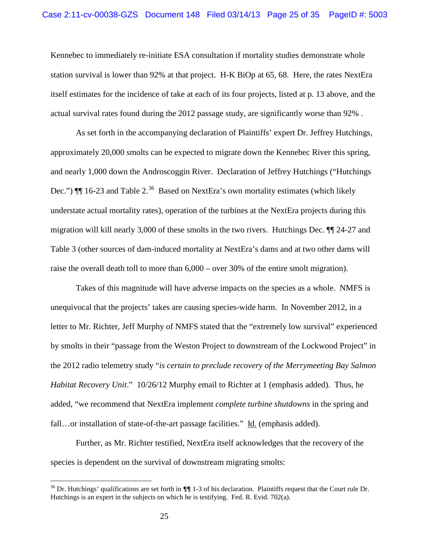Kennebec to immediately re-initiate ESA consultation if mortality studies demonstrate whole station survival is lower than 92% at that project. H-K BiOp at 65, 68. Here, the rates NextEra itself estimates for the incidence of take at each of its four projects, listed at p. 13 above, and the actual survival rates found during the 2012 passage study, are significantly worse than 92% .

As set forth in the accompanying declaration of Plaintiffs' expert Dr. Jeffrey Hutchings, approximately 20,000 smolts can be expected to migrate down the Kennebec River this spring, and nearly 1,000 down the Androscoggin River. Declaration of Jeffrey Hutchings ("Hutchings Dec.")  $\P$  16-23 and Table 2.<sup>[36](#page-24-0)</sup> Based on NextEra's own mortality estimates (which likely understate actual mortality rates), operation of the turbines at the NextEra projects during this migration will kill nearly 3,000 of these smolts in the two rivers. Hutchings Dec. ¶¶ 24-27 and Table 3 (other sources of dam-induced mortality at NextEra's dams and at two other dams will raise the overall death toll to more than 6,000 – over 30% of the entire smolt migration).

Takes of this magnitude will have adverse impacts on the species as a whole. NMFS is unequivocal that the projects' takes are causing species-wide harm. In November 2012, in a letter to Mr. Richter, Jeff Murphy of NMFS stated that the "extremely low survival" experienced by smolts in their "passage from the Weston Project to downstream of the Lockwood Project" in the 2012 radio telemetry study "*is certain to preclude recovery of the Merrymeeting Bay Salmon Habitat Recovery Unit*." 10/26/12 Murphy email to Richter at 1 (emphasis added). Thus, he added, "we recommend that NextEra implement *complete turbine shutdowns* in the spring and fall…or installation of state-of-the-art passage facilities." Id. (emphasis added).

Further, as Mr. Richter testified, NextEra itself acknowledges that the recovery of the species is dependent on the survival of downstream migrating smolts:

<span id="page-24-0"></span> <sup>36</sup> Dr. Hutchings' qualifications are set forth in **¶¶** 1-3 of his declaration. Plaintiffs request that the Court rule Dr. Hutchings is an expert in the subjects on which he is testifying. Fed. R. Evid. 702(a).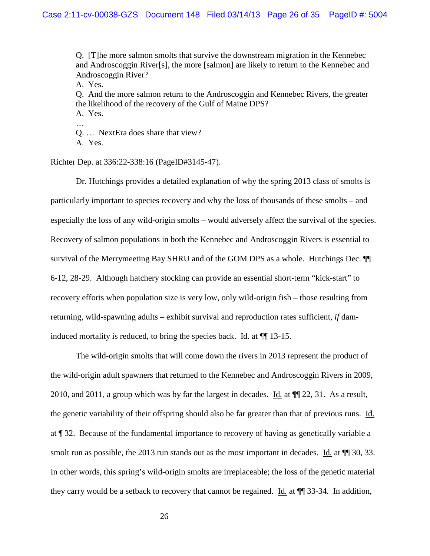Q. [T]he more salmon smolts that survive the downstream migration in the Kennebec and Androscoggin River[s], the more [salmon] are likely to return to the Kennebec and Androscoggin River?

A. Yes.

Q. And the more salmon return to the Androscoggin and Kennebec Rivers, the greater the likelihood of the recovery of the Gulf of Maine DPS?

A. Yes. …

Q. … NextEra does share that view?

A. Yes.

Richter Dep. at 336:22-338:16 (PageID#3145-47).

Dr. Hutchings provides a detailed explanation of why the spring 2013 class of smolts is particularly important to species recovery and why the loss of thousands of these smolts – and especially the loss of any wild-origin smolts – would adversely affect the survival of the species. Recovery of salmon populations in both the Kennebec and Androscoggin Rivers is essential to survival of the Merrymeeting Bay SHRU and of the GOM DPS as a whole. Hutchings Dec. ¶¶ 6-12, 28-29. Although hatchery stocking can provide an essential short-term "kick-start" to recovery efforts when population size is very low, only wild-origin fish – those resulting from returning, wild-spawning adults – exhibit survival and reproduction rates sufficient, *if* daminduced mortality is reduced, to bring the species back. Id. at ¶¶ 13-15.

The wild-origin smolts that will come down the rivers in 2013 represent the product of the wild-origin adult spawners that returned to the Kennebec and Androscoggin Rivers in 2009, 2010, and 2011, a group which was by far the largest in decades. Id. at ¶¶ 22, 31. As a result, the genetic variability of their offspring should also be far greater than that of previous runs. Id. at ¶ 32. Because of the fundamental importance to recovery of having as genetically variable a smolt run as possible, the 2013 run stands out as the most important in decades. Id. at  $\P$  30, 33. In other words, this spring's wild-origin smolts are irreplaceable; the loss of the genetic material they carry would be a setback to recovery that cannot be regained. Id. at ¶¶ 33-34. In addition,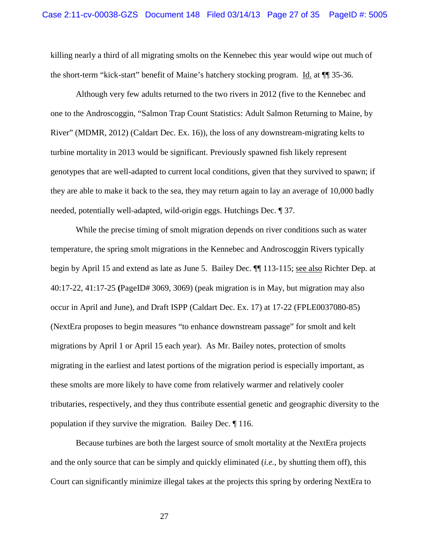killing nearly a third of all migrating smolts on the Kennebec this year would wipe out much of the short-term "kick-start" benefit of Maine's hatchery stocking program. Id. at ¶¶ 35-36.

Although very few adults returned to the two rivers in 2012 (five to the Kennebec and one to the Androscoggin, "Salmon Trap Count Statistics: Adult Salmon Returning to Maine, by River" (MDMR, 2012) (Caldart Dec. Ex. 16)), the loss of any downstream-migrating kelts to turbine mortality in 2013 would be significant. Previously spawned fish likely represent genotypes that are well-adapted to current local conditions, given that they survived to spawn; if they are able to make it back to the sea, they may return again to lay an average of 10,000 badly needed, potentially well-adapted, wild-origin eggs. Hutchings Dec. ¶ 37.

While the precise timing of smolt migration depends on river conditions such as water temperature, the spring smolt migrations in the Kennebec and Androscoggin Rivers typically begin by April 15 and extend as late as June 5. Bailey Dec. ¶¶ 113-115; see also Richter Dep. at 40:17-22, 41:17-25 **(**PageID# 3069, 3069) (peak migration is in May, but migration may also occur in April and June), and Draft ISPP (Caldart Dec. Ex. 17) at 17-22 (FPLE0037080-85) (NextEra proposes to begin measures "to enhance downstream passage" for smolt and kelt migrations by April 1 or April 15 each year). As Mr. Bailey notes, protection of smolts migrating in the earliest and latest portions of the migration period is especially important, as these smolts are more likely to have come from relatively warmer and relatively cooler tributaries, respectively, and they thus contribute essential genetic and geographic diversity to the population if they survive the migration. Bailey Dec. ¶ 116.

Because turbines are both the largest source of smolt mortality at the NextEra projects and the only source that can be simply and quickly eliminated (*i.e.*, by shutting them off), this Court can significantly minimize illegal takes at the projects this spring by ordering NextEra to

27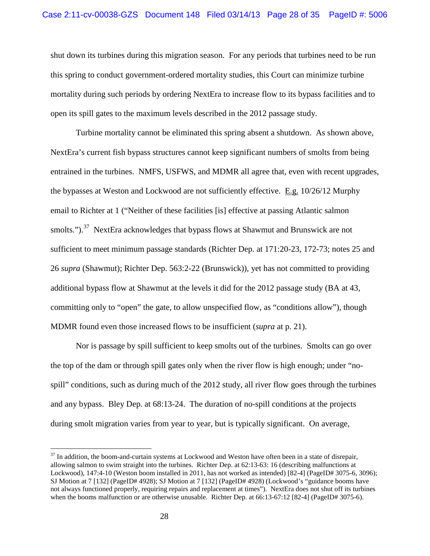shut down its turbines during this migration season. For any periods that turbines need to be run this spring to conduct government-ordered mortality studies, this Court can minimize turbine mortality during such periods by ordering NextEra to increase flow to its bypass facilities and to open its spill gates to the maximum levels described in the 2012 passage study.

Turbine mortality cannot be eliminated this spring absent a shutdown. As shown above, NextEra's current fish bypass structures cannot keep significant numbers of smolts from being entrained in the turbines. NMFS, USFWS, and MDMR all agree that, even with recent upgrades, the bypasses at Weston and Lockwood are not sufficiently effective. E.g. 10/26/12 Murphy email to Richter at 1 ("Neither of these facilities [is] effective at passing Atlantic salmon smolts.").<sup>[37](#page-27-0)</sup> NextEra acknowledges that bypass flows at Shawmut and Brunswick are not sufficient to meet minimum passage standards (Richter Dep. at 171:20-23, 172-73; notes 25 and 26 *supra* (Shawmut); Richter Dep. 563:2-22 (Brunswick)), yet has not committed to providing additional bypass flow at Shawmut at the levels it did for the 2012 passage study (BA at 43, committing only to "open" the gate, to allow unspecified flow, as "conditions allow"), though MDMR found even those increased flows to be insufficient (*supra* at p. 21).

Nor is passage by spill sufficient to keep smolts out of the turbines. Smolts can go over the top of the dam or through spill gates only when the river flow is high enough; under "nospill" conditions, such as during much of the 2012 study, all river flow goes through the turbines and any bypass. Bley Dep. at 68:13-24. The duration of no-spill conditions at the projects during smolt migration varies from year to year, but is typically significant. On average,

<span id="page-27-0"></span> $37$  In addition, the boom-and-curtain systems at Lockwood and Weston have often been in a state of disrepair, allowing salmon to swim straight into the turbines. Richter Dep. at 62:13-63: 16 (describing malfunctions at Lockwood), 147:4-10 (Weston boom installed in 2011, has not worked as intended) [82-4] (PageID# 3075-6, 3096); SJ Motion at 7 [132] (PageID# 4928); SJ Motion at 7 [132] (PageID# 4928) (Lockwood's "guidance booms have not always functioned properly, requiring repairs and replacement at times"). NextEra does not shut off its turbines when the booms malfunction or are otherwise unusable. Richter Dep. at 66:13-67:12 [82-4] (PageID# 3075-6).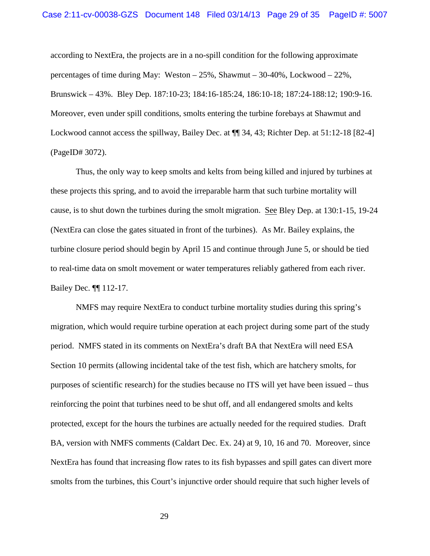according to NextEra, the projects are in a no-spill condition for the following approximate percentages of time during May: Weston – 25%, Shawmut – 30-40%, Lockwood – 22%, Brunswick – 43%. Bley Dep. 187:10-23; 184:16-185:24, 186:10-18; 187:24-188:12; 190:9-16. Moreover, even under spill conditions, smolts entering the turbine forebays at Shawmut and Lockwood cannot access the spillway, Bailey Dec. at  $\P$  34, 43; Richter Dep. at 51:12-18 [82-4] (PageID# 3072).

Thus, the only way to keep smolts and kelts from being killed and injured by turbines at these projects this spring, and to avoid the irreparable harm that such turbine mortality will cause, is to shut down the turbines during the smolt migration. See Bley Dep. at 130:1-15, 19-24 (NextEra can close the gates situated in front of the turbines). As Mr. Bailey explains, the turbine closure period should begin by April 15 and continue through June 5, or should be tied to real-time data on smolt movement or water temperatures reliably gathered from each river. Bailey Dec. ¶¶ 112-17.

NMFS may require NextEra to conduct turbine mortality studies during this spring's migration, which would require turbine operation at each project during some part of the study period. NMFS stated in its comments on NextEra's draft BA that NextEra will need ESA Section 10 permits (allowing incidental take of the test fish, which are hatchery smolts, for purposes of scientific research) for the studies because no ITS will yet have been issued – thus reinforcing the point that turbines need to be shut off, and all endangered smolts and kelts protected, except for the hours the turbines are actually needed for the required studies. Draft BA, version with NMFS comments (Caldart Dec. Ex. 24) at 9, 10, 16 and 70. Moreover, since NextEra has found that increasing flow rates to its fish bypasses and spill gates can divert more smolts from the turbines, this Court's injunctive order should require that such higher levels of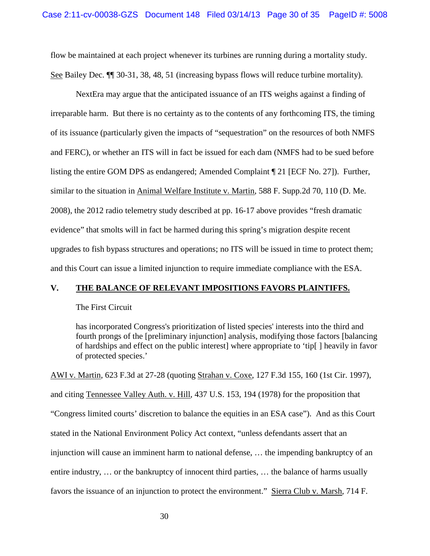flow be maintained at each project whenever its turbines are running during a mortality study. See Bailey Dec. ¶¶ 30-31, 38, 48, 51 (increasing bypass flows will reduce turbine mortality).

NextEra may argue that the anticipated issuance of an ITS weighs against a finding of irreparable harm. But there is no certainty as to the contents of any forthcoming ITS, the timing of its issuance (particularly given the impacts of "sequestration" on the resources of both NMFS and FERC), or whether an ITS will in fact be issued for each dam (NMFS had to be sued before listing the entire GOM DPS as endangered; Amended Complaint ¶ 21 [ECF No. 27]). Further, similar to the situation in Animal Welfare Institute v. Martin, 588 F. Supp.2d 70, 110 (D. Me. 2008), the 2012 radio telemetry study described at pp. 16-17 above provides "fresh dramatic evidence" that smolts will in fact be harmed during this spring's migration despite recent upgrades to fish bypass structures and operations; no ITS will be issued in time to protect them; and this Court can issue a limited injunction to require immediate compliance with the ESA.

#### **V. THE BALANCE OF RELEVANT IMPOSITIONS FAVORS PLAINTIFFS.**

#### The First Circuit

has incorporated Congress's prioritization of listed species' interests into the third and fourth prongs of the [preliminary injunction] analysis, modifying those factors [balancing of hardships and effect on the public interest] where appropriate to 'tip[ ] heavily in favor of protected species.'

AWI v. Martin, 623 F.3d at 27-28 (quoting Strahan v. Coxe, 127 F.3d 155, 160 (1st Cir. 1997), and citing Tennessee Valley Auth. v. Hill, 437 U.S. 153, 194 (1978) for the proposition that "Congress limited courts' discretion to balance the equities in an ESA case"). And as this Court stated in the National Environment Policy Act context, "unless defendants assert that an injunction will cause an imminent harm to national defense, … the impending bankruptcy of an entire industry, … or the bankruptcy of innocent third parties, … the balance of harms usually favors the issuance of an injunction to protect the environment." Sierra Club v. Marsh, 714 F.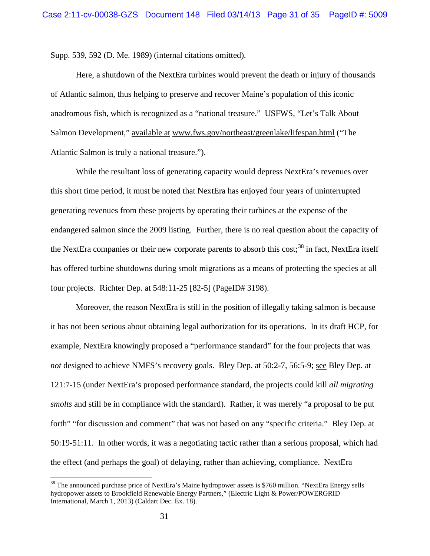Supp. 539, 592 (D. Me. 1989) (internal citations omitted).

Here, a shutdown of the NextEra turbines would prevent the death or injury of thousands of Atlantic salmon, thus helping to preserve and recover Maine's population of this iconic anadromous fish, which is recognized as a "national treasure." USFWS, "Let's Talk About Salmon Development," available at [www.fws.gov/northeast/greenlake/lifespan.html](http://www.fws.gov/northeast/greenlake/lifespan.html) ("The Atlantic Salmon is truly a national treasure.").

While the resultant loss of generating capacity would depress NextEra's revenues over this short time period, it must be noted that NextEra has enjoyed four years of uninterrupted generating revenues from these projects by operating their turbines at the expense of the endangered salmon since the 2009 listing. Further, there is no real question about the capacity of the NextEra companies or their new corporate parents to absorb this cost;<sup>[38](#page-30-0)</sup> in fact, NextEra itself has offered turbine shutdowns during smolt migrations as a means of protecting the species at all four projects. Richter Dep. at 548:11-25 [82-5] (PageID# 3198).

Moreover, the reason NextEra is still in the position of illegally taking salmon is because it has not been serious about obtaining legal authorization for its operations. In its draft HCP, for example, NextEra knowingly proposed a "performance standard" for the four projects that was *not* designed to achieve NMFS's recovery goals. Bley Dep. at 50:2-7, 56:5-9; see Bley Dep. at 121:7-15 (under NextEra's proposed performance standard, the projects could kill *all migrating smolts* and still be in compliance with the standard). Rather, it was merely "a proposal to be put forth" "for discussion and comment" that was not based on any "specific criteria." Bley Dep. at 50:19-51:11. In other words, it was a negotiating tactic rather than a serious proposal, which had the effect (and perhaps the goal) of delaying, rather than achieving, compliance. NextEra

<span id="page-30-0"></span><sup>&</sup>lt;sup>38</sup> The announced purchase price of NextEra's Maine hydropower assets is \$760 million. "NextEra Energy sells hydropower assets to Brookfield Renewable Energy Partners," (Electric Light & Power/POWERGRID International, March 1, 2013) (Caldart Dec. Ex. 18).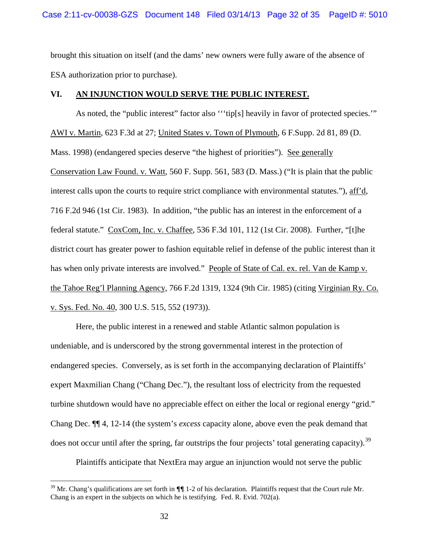brought this situation on itself (and the dams' new owners were fully aware of the absence of ESA authorization prior to purchase).

### **VI. AN INJUNCTION WOULD SERVE THE PUBLIC INTEREST.**

As noted, the "public interest" factor also "'tip[s] heavily in favor of protected species."" AWI v. Martin, 623 F.3d at 27; United States v. Town of Plymouth, 6 F.Supp. 2d 81, 89 (D. Mass. 1998) (endangered species deserve "the highest of priorities"). See generally Conservation Law Found. v. Watt, 560 F. Supp. 561, 583 (D. Mass.) ("It is plain that the public interest calls upon the courts to require strict compliance with environmental statutes."), aff'd, 716 F.2d 946 (1st Cir. 1983). In addition, "the public has an interest in the enforcement of a federal statute." CoxCom, Inc. v. Chaffee, 536 F.3d 101, 112 (1st Cir. 2008). Further, "[t]he district court has greater power to fashion equitable relief in defense of the public interest than it has when only private interests are involved." People of State of Cal. ex. rel. Van de Kamp v. the Tahoe Reg'l Planning Agency, 766 F.2d 1319, 1324 (9th Cir. 1985) (citing Virginian Ry. Co. v. Sys. Fed. No. 40, 300 U.S. 515, 552 (1973)).

Here, the public interest in a renewed and stable Atlantic salmon population is undeniable, and is underscored by the strong governmental interest in the protection of endangered species. Conversely, as is set forth in the accompanying declaration of Plaintiffs' expert Maxmilian Chang ("Chang Dec."), the resultant loss of electricity from the requested turbine shutdown would have no appreciable effect on either the local or regional energy "grid." Chang Dec. ¶¶ 4, 12-14 (the system's *excess* capacity alone, above even the peak demand that does not occur until after the spring, far outstrips the four projects' total generating capacity).<sup>[39](#page-31-0)</sup>

Plaintiffs anticipate that NextEra may argue an injunction would not serve the public

<span id="page-31-0"></span> <sup>39</sup> Mr. Chang's qualifications are set forth in **¶¶** 1-2 of his declaration. Plaintiffs request that the Court rule Mr. Chang is an expert in the subjects on which he is testifying. Fed. R. Evid. 702(a).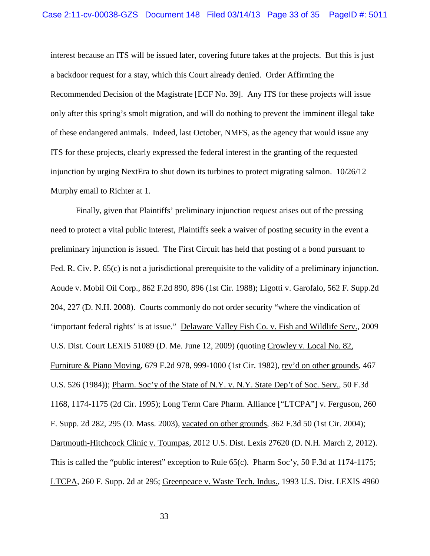interest because an ITS will be issued later, covering future takes at the projects. But this is just a backdoor request for a stay, which this Court already denied. Order Affirming the Recommended Decision of the Magistrate [ECF No. 39]. Any ITS for these projects will issue only after this spring's smolt migration, and will do nothing to prevent the imminent illegal take of these endangered animals. Indeed, last October, NMFS, as the agency that would issue any ITS for these projects, clearly expressed the federal interest in the granting of the requested injunction by urging NextEra to shut down its turbines to protect migrating salmon. 10/26/12 Murphy email to Richter at 1.

Finally, given that Plaintiffs' preliminary injunction request arises out of the pressing need to protect a vital public interest, Plaintiffs seek a waiver of posting security in the event a preliminary injunction is issued. The First Circuit has held that posting of a bond pursuant to Fed. R. Civ. P. 65(c) is not a jurisdictional prerequisite to the validity of a preliminary injunction. Aoude v. Mobil Oil Corp., 862 F.2d 890, 896 (1st Cir. 1988); Ligotti v. Garofalo, 562 F. Supp.2d 204, 227 (D. N.H. 2008). Courts commonly do not order security "where the vindication of 'important federal rights' is at issue." Delaware Valley Fish Co. v. Fish and Wildlife Serv., 2009 U.S. Dist. Court LEXIS 51089 (D. Me. June 12, 2009) (quoting Crowley v. Local No. 82, Furniture & Piano Moving, 679 F.2d 978, 999-1000 (1st Cir. 1982), rev'd on other grounds, 467 U.S. 526 (1984)); Pharm. Soc'y of the State of N.Y. v. N.Y. State Dep't of Soc. Serv., 50 F.3d 1168, 1174-1175 (2d Cir. 1995); Long Term Care Pharm. Alliance ["LTCPA"] v. Ferguson, 260 F. Supp. 2d 282, 295 (D. Mass. 2003), vacated on other grounds, 362 F.3d 50 (1st Cir. 2004); Dartmouth-Hitchcock Clinic v. Toumpas, 2012 U.S. Dist. Lexis 27620 (D. N.H. March 2, 2012). This is called the "public interest" exception to Rule 65(c). Pharm Soc'y, 50 F.3d at 1174-1175; LTCPA, 260 F. Supp. 2d at 295; Greenpeace v. Waste Tech. Indus., 1993 U.S. Dist. LEXIS 4960

33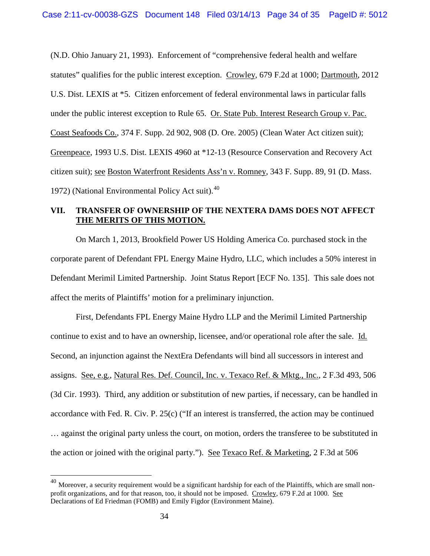(N.D. Ohio January 21, 1993). Enforcement of "comprehensive federal health and welfare statutes" qualifies for the public interest exception. Crowley, 679 F.2d at 1000; Dartmouth, 2012 U.S. Dist. LEXIS at \*5. Citizen enforcement of federal environmental laws in particular falls under the public interest exception to Rule 65. Or. State Pub. Interest Research Group v. Pac. Coast Seafoods Co., 374 F. Supp. 2d 902, 908 (D. Ore. 2005) (Clean Water Act citizen suit); Greenpeace, 1993 U.S. Dist. LEXIS 4960 at \*12-13 (Resource Conservation and Recovery Act citizen suit); see Boston Waterfront Residents Ass'n v. Romney, 343 F. Supp. 89, 91 (D. Mass. 1972) (National Environmental Policy Act suit). $40$ 

# **VII. TRANSFER OF OWNERSHIP OF THE NEXTERA DAMS DOES NOT AFFECT THE MERITS OF THIS MOTION.**

On March 1, 2013, Brookfield Power US Holding America Co. purchased stock in the corporate parent of Defendant FPL Energy Maine Hydro, LLC, which includes a 50% interest in Defendant Merimil Limited Partnership. Joint Status Report [ECF No. 135]. This sale does not affect the merits of Plaintiffs' motion for a preliminary injunction.

First, Defendants FPL Energy Maine Hydro LLP and the Merimil Limited Partnership continue to exist and to have an ownership, licensee, and/or operational role after the sale. Id. Second, an injunction against the NextEra Defendants will bind all successors in interest and assigns. See, e.g., Natural Res. Def. Council, Inc. v. Texaco Ref. & Mktg., Inc., 2 F.3d 493, 506 (3d Cir. 1993). Third, any addition or substitution of new parties, if necessary, can be handled in accordance with Fed. R. Civ. P. 25(c) ("If an interest is transferred, the action may be continued … against the original party unless the court, on motion, orders the transferee to be substituted in the action or joined with the original party."). See Texaco Ref. & Marketing, 2 F.3d at 506

<span id="page-33-0"></span><sup>&</sup>lt;sup>40</sup> Moreover, a security requirement would be a significant hardship for each of the Plaintiffs, which are small nonprofit organizations, and for that reason, too, it should not be imposed. Crowley, 679 F.2d at 1000. See Declarations of Ed Friedman (FOMB) and Emily Figdor (Environment Maine).